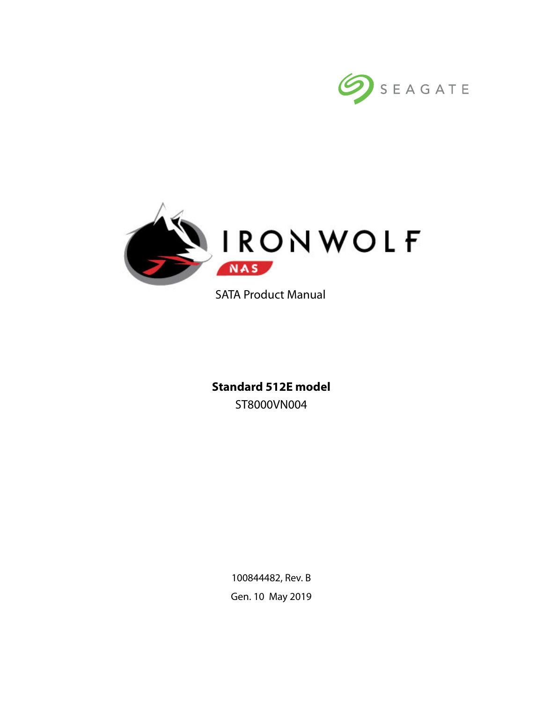



SATA Product Manual

**Standard 512E model** ST8000VN004

> 100844482, Rev. B Gen. 10 May 2019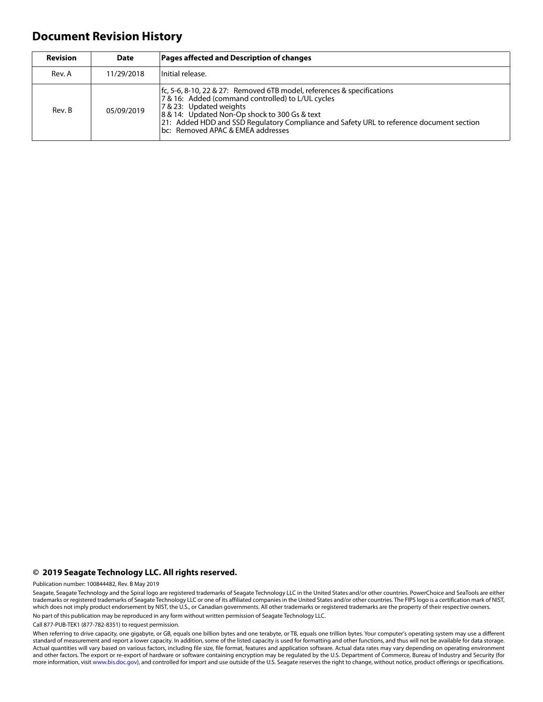## **Document Revision History**

| <b>Revision</b> | <b>Date</b> | <b>Pages affected and Description of changes</b>                                                                                                                                                                                                                                                                                         |
|-----------------|-------------|------------------------------------------------------------------------------------------------------------------------------------------------------------------------------------------------------------------------------------------------------------------------------------------------------------------------------------------|
| Rev. A          | 11/29/2018  | Initial release.                                                                                                                                                                                                                                                                                                                         |
| Rev. B          | 05/09/2019  | fc, 5-6, 8-10, 22 & 27: Removed 6TB model, references & specifications<br>7 & 16: Added (command controlled) to L/UL cycles<br>7 & 23: Updated weights<br>8 & 14: Updated Non-Op shock to 300 Gs & text<br>21: Added HDD and SSD Regulatory Compliance and Safety URL to reference document section<br>bc: Removed APAC & EMEA addresses |

#### **© 2019 Seagate Technology LLC. All rights reserved.**

Publication number: 100844482, Rev. B May 2019

Seagate, Seagate Technology and the Spiral logo are registered trademarks of Seagate Technology LLC in the United States and/or other countries. PowerChoice and SeaTools are either trademarks or registered trademarks of Seagate Technology LLC or one of its affiliated companies in the United States and/or other countries. The FIPS logo is a certification mark of NIST, which does not imply product endorsement by NIST, the U.S., or Canadian governments. All other trademarks or registered trademarks are the property of their respective owners. No part of this publication may be reproduced in any form without written permission of Seagate Technology LLC.

Call 877-PUB-TEK1 (877-782-8351) to request permission.

When referring to drive capacity, one gigabyte, or GB, equals one billion bytes and one terabyte, or TB, equals one trillion bytes. Your computer's operating system may use a different standard of measurement and report a lower capacity. In addition, some of the listed capacity is used for formatting and other functions, and thus will not be available for data storage. Actual quantities will vary based on various factors, including file size, file format, features and application software. Actual data rates may vary depending on operating environment and other factors. The export or re-export of hardware or software containing encryption may be regulated by the U.S. Department of Commerce, Bureau of Industry and Security (for more information, visit [www.bis.doc.gov](http://www.bis.doc.gov)), and controlled for import and use outside of the U.S. Seagate reserves the right to change, without notice, product offerings or specifications.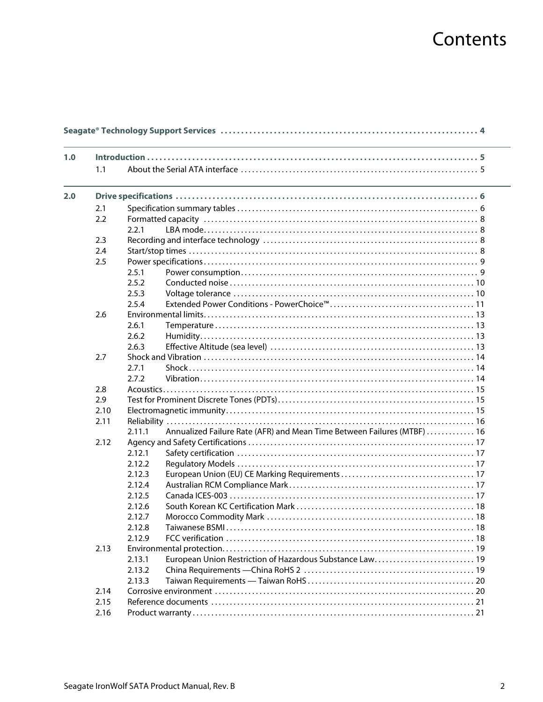# Contents

| 1.0 |      |                                                                                   |  |
|-----|------|-----------------------------------------------------------------------------------|--|
|     | 1.1  |                                                                                   |  |
| 2.0 |      |                                                                                   |  |
|     | 2.1  |                                                                                   |  |
|     | 2.2  |                                                                                   |  |
|     |      | 2.2.1                                                                             |  |
|     | 2.3  |                                                                                   |  |
|     | 2.4  |                                                                                   |  |
|     | 2.5  |                                                                                   |  |
|     |      | 2.5.1                                                                             |  |
|     |      | 2.5.2                                                                             |  |
|     |      | 2.5.3                                                                             |  |
|     |      | 2.5.4                                                                             |  |
|     | 2.6  |                                                                                   |  |
|     |      | 2.6.1                                                                             |  |
|     |      | 2.6.2                                                                             |  |
|     |      |                                                                                   |  |
|     |      | 2.6.3                                                                             |  |
|     | 2.7  |                                                                                   |  |
|     |      | 2.7.1                                                                             |  |
|     |      | 2.7.2                                                                             |  |
|     | 2.8  |                                                                                   |  |
|     | 2.9  |                                                                                   |  |
|     | 2.10 |                                                                                   |  |
|     | 2.11 |                                                                                   |  |
|     |      | Annualized Failure Rate (AFR) and Mean Time Between Failures (MTBF)  16<br>2.11.1 |  |
|     | 2.12 |                                                                                   |  |
|     |      | 2.12.1                                                                            |  |
|     |      | 2.12.2                                                                            |  |
|     |      | 2.12.3                                                                            |  |
|     |      | 2.12.4                                                                            |  |
|     |      | 2.12.5                                                                            |  |
|     |      | 2.12.6                                                                            |  |
|     |      | 2.12.7                                                                            |  |
|     |      | 2.12.8                                                                            |  |
|     |      | 2.12.9                                                                            |  |
|     | 2.13 |                                                                                   |  |
|     |      | European Union Restriction of Hazardous Substance Law 19<br>2.13.1                |  |
|     |      | 2.13.2                                                                            |  |
|     |      | 2.13.3                                                                            |  |
|     |      |                                                                                   |  |
|     | 2.14 |                                                                                   |  |
|     | 2.15 |                                                                                   |  |
|     | 2.16 |                                                                                   |  |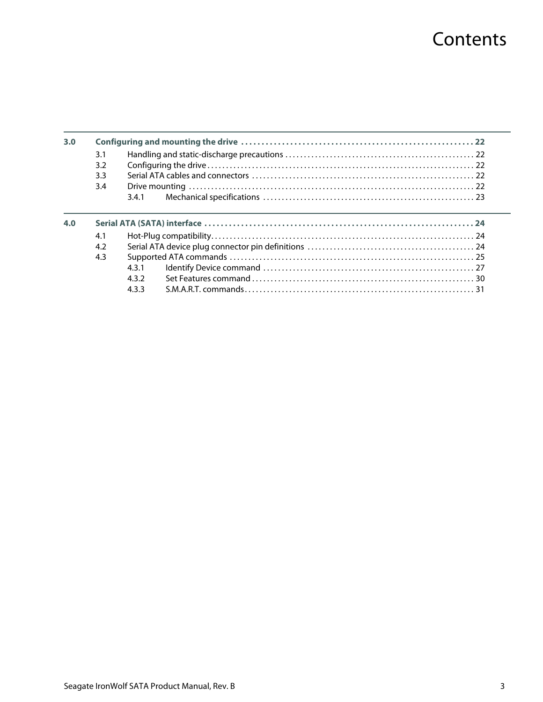# **Contents**

| 3.0 |     |                     |  |
|-----|-----|---------------------|--|
|     | 3.1 |                     |  |
|     | 3.2 |                     |  |
|     | 3.3 |                     |  |
|     | 3.4 |                     |  |
|     |     | 341                 |  |
| 4.0 |     |                     |  |
|     | 4.1 |                     |  |
|     | 4.2 |                     |  |
|     | 4.3 | 431<br>432<br>4.3.3 |  |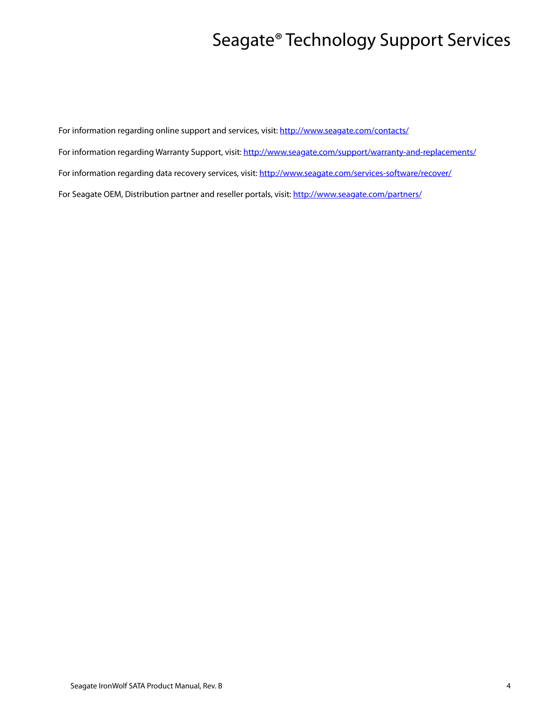# Seagate® Technology Support Services

<span id="page-4-0"></span>For information regarding online support and services, visit: [http://www.sea](http://www.seagate.com/contacts/)gate.com/contacts/ [For information regarding Warranty Support, visit: h](http://www.seagate.com/support/warranty-and-replacements/)ttp://www.seagate.com/support/warranty-and-replacements/ For information regarding data recovery services, visit: [http://www.seagate.com/services-software/recover/](http://www.seagate.com/services-software/data-recovery-services/) [For Seagate OEM, Distribution partner and reseller portals, visit: h](http://www.seagate.com/partners/)ttp://www.seagate.com/partners/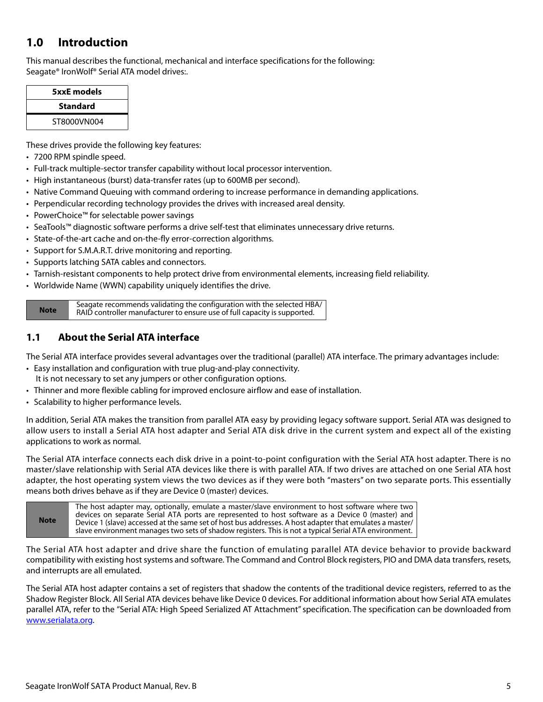## <span id="page-5-0"></span>**1.0 Introduction**

This manual describes the functional, mechanical and interface specifications for the following: Seagate® IronWolf® Serial ATA model drives:.

| 5xxE models     |  |
|-----------------|--|
| <b>Standard</b> |  |
| ST8000VN004     |  |

These drives provide the following key features:

- 7200 RPM spindle speed.
- Full-track multiple-sector transfer capability without local processor intervention.
- High instantaneous (burst) data-transfer rates (up to 600MB per second).
- Native Command Queuing with command ordering to increase performance in demanding applications.
- Perpendicular recording technology provides the drives with increased areal density.
- PowerChoice™ for selectable power savings
- SeaTools™ diagnostic software performs a drive self-test that eliminates unnecessary drive returns.
- State-of-the-art cache and on-the-fly error-correction algorithms.
- Support for S.M.A.R.T. drive monitoring and reporting.
- Supports latching SATA cables and connectors.
- Tarnish-resistant components to help protect drive from environmental elements, increasing field reliability.
- Worldwide Name (WWN) capability uniquely identifies the drive.

**Note** Seagate recommends validating the configuration with the selected HBA/ RAID controller manufacturer to ensure use of full capacity is supported.

## <span id="page-5-1"></span>**1.1 About the Serial ATA interface**

The Serial ATA interface provides several advantages over the traditional (parallel) ATA interface. The primary advantages include:

- Easy installation and configuration with true plug-and-play connectivity. It is not necessary to set any jumpers or other configuration options.
- Thinner and more flexible cabling for improved enclosure airflow and ease of installation.
- Scalability to higher performance levels.

In addition, Serial ATA makes the transition from parallel ATA easy by providing legacy software support. Serial ATA was designed to allow users to install a Serial ATA host adapter and Serial ATA disk drive in the current system and expect all of the existing applications to work as normal.

The Serial ATA interface connects each disk drive in a point-to-point configuration with the Serial ATA host adapter. There is no master/slave relationship with Serial ATA devices like there is with parallel ATA. If two drives are attached on one Serial ATA host adapter, the host operating system views the two devices as if they were both "masters" on two separate ports. This essentially means both drives behave as if they are Device 0 (master) devices.

The Serial ATA host adapter and drive share the function of emulating parallel ATA device behavior to provide backward compatibility with existing host systems and software. The Command and Control Block registers, PIO and DMA data transfers, resets, and interrupts are all emulated.

The Serial ATA host adapter contains a set of registers that shadow the contents of the traditional device registers, referred to as the Shadow Register Block. All Serial ATA devices behave like Device 0 devices. For additional information about how Serial ATA emulates parallel ATA, refer to the "Serial ATA: High Speed Serialized AT Attachment" specification. The specification can be downloaded from [www.serialata.or](http://www.serialata.org)g.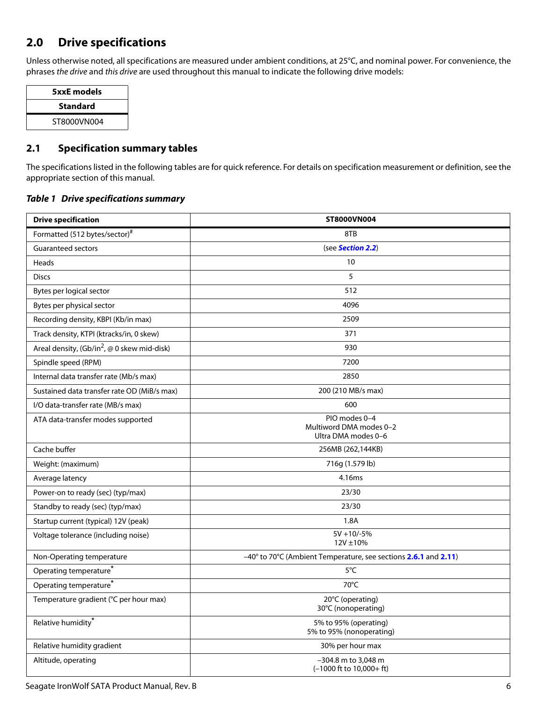## <span id="page-6-0"></span>**2.0 Drive specifications**

Unless otherwise noted, all specifications are measured under ambient conditions, at 25°C, and nominal power. For convenience, the phrases the drive and this drive are used throughout this manual to indicate the following drive models:

| 5xxE models     |
|-----------------|
| <b>Standard</b> |
| ST8000VN004     |
|                 |

## <span id="page-6-1"></span>**2.1 Specification summary tables**

The specifications listed in the following tables are for quick reference. For details on specification measurement or definition, see the appropriate section of this manual.

#### *Table 1 Drive specifications summary*

| <b>Drive specification</b>                    | <b>ST8000VN004</b>                                                  |  |  |
|-----------------------------------------------|---------------------------------------------------------------------|--|--|
| Formatted (512 bytes/sector)#                 | 8TB                                                                 |  |  |
| <b>Guaranteed sectors</b>                     | (see <b>Section 2.2</b> )                                           |  |  |
| Heads                                         | 10                                                                  |  |  |
| <b>Discs</b>                                  | 5                                                                   |  |  |
| Bytes per logical sector                      | 512                                                                 |  |  |
| Bytes per physical sector                     | 4096                                                                |  |  |
| Recording density, KBPI (Kb/in max)           | 2509                                                                |  |  |
| Track density, KTPI (ktracks/in, 0 skew)      | 371                                                                 |  |  |
| Areal density, $(Gb/in^2, @ 0$ skew mid-disk) | 930                                                                 |  |  |
| Spindle speed (RPM)                           | 7200                                                                |  |  |
| Internal data transfer rate (Mb/s max)        | 2850                                                                |  |  |
| Sustained data transfer rate OD (MiB/s max)   | 200 (210 MB/s max)                                                  |  |  |
| I/O data-transfer rate (MB/s max)             | 600                                                                 |  |  |
| ATA data-transfer modes supported             | PIO modes 0-4<br>Multiword DMA modes 0-2<br>Ultra DMA modes 0-6     |  |  |
| Cache buffer                                  | 256MB (262,144KB)                                                   |  |  |
| Weight: (maximum)                             | 716g (1.579 lb)                                                     |  |  |
| Average latency                               | 4.16ms                                                              |  |  |
| Power-on to ready (sec) (typ/max)             | 23/30                                                               |  |  |
| Standby to ready (sec) (typ/max)              | 23/30                                                               |  |  |
| Startup current (typical) 12V (peak)          | 1.8A                                                                |  |  |
| Voltage tolerance (including noise)           | $5V + 10/-5%$<br>$12V \pm 10\%$                                     |  |  |
| Non-Operating temperature                     | -40° to 70°C (Ambient Temperature, see sections 2.6.1 and 2.11)     |  |  |
| Operating temperature <sup>*</sup>            | 5°C                                                                 |  |  |
| Operating temperature <sup>*</sup>            | 70°C                                                                |  |  |
| Temperature gradient (°C per hour max)        | 20°C (operating)<br>30°C (nonoperating)                             |  |  |
| Relative humidity*                            | 5% to 95% (operating)<br>5% to 95% (nonoperating)                   |  |  |
| Relative humidity gradient                    | 30% per hour max                                                    |  |  |
| Altitude, operating                           | -304.8 m to 3,048 m<br>$(-1000 \text{ ft to } 10,000 + \text{ ft})$ |  |  |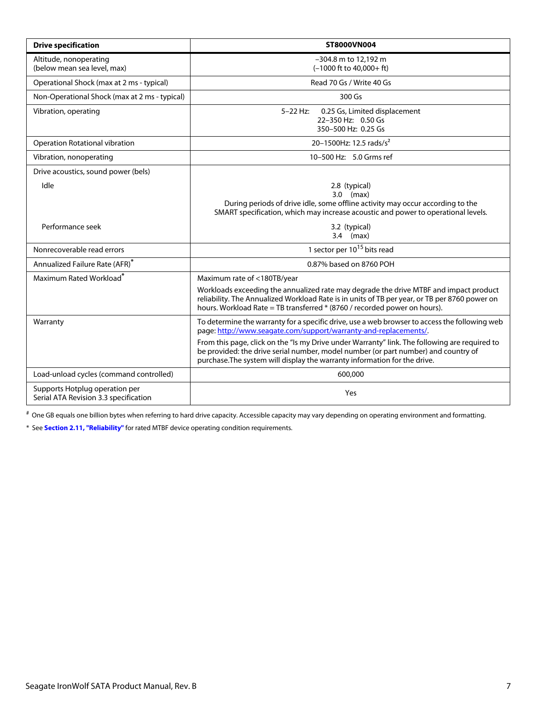| <b>Drive specification</b>                                              | ST8000VN004                                                                                                                                                                                                                                                         |  |  |
|-------------------------------------------------------------------------|---------------------------------------------------------------------------------------------------------------------------------------------------------------------------------------------------------------------------------------------------------------------|--|--|
| Altitude, nonoperating<br>(below mean sea level, max)                   | -304.8 m to 12,192 m<br>$(-1000$ ft to $40,000+$ ft)                                                                                                                                                                                                                |  |  |
| Operational Shock (max at 2 ms - typical)                               | Read 70 Gs / Write 40 Gs                                                                                                                                                                                                                                            |  |  |
| Non-Operational Shock (max at 2 ms - typical)                           | 300 Gs                                                                                                                                                                                                                                                              |  |  |
| Vibration, operating                                                    | $5 - 22$ Hz:<br>0.25 Gs, Limited displacement<br>22-350 Hz: 0.50 Gs<br>350-500 Hz: 0.25 Gs                                                                                                                                                                          |  |  |
| Operation Rotational vibration                                          | 20-1500Hz: 12.5 rads/s <sup>2</sup>                                                                                                                                                                                                                                 |  |  |
| Vibration, nonoperating                                                 | 10-500 Hz: 5.0 Grms ref                                                                                                                                                                                                                                             |  |  |
| Drive acoustics, sound power (bels)                                     |                                                                                                                                                                                                                                                                     |  |  |
| Idle                                                                    | 2.8 (typical)<br>$3.0$ (max)<br>During periods of drive idle, some offline activity may occur according to the<br>SMART specification, which may increase acoustic and power to operational levels.                                                                 |  |  |
| Performance seek                                                        | 3.2 (typical)<br>$3.4$ (max)                                                                                                                                                                                                                                        |  |  |
| Nonrecoverable read errors                                              | 1 sector per $10^{15}$ bits read                                                                                                                                                                                                                                    |  |  |
| Annualized Failure Rate (AFR)*                                          | 0.87% based on 8760 POH                                                                                                                                                                                                                                             |  |  |
| Maximum Rated Workload <sup>*</sup>                                     | Maximum rate of <180TB/year                                                                                                                                                                                                                                         |  |  |
|                                                                         | Workloads exceeding the annualized rate may degrade the drive MTBF and impact product<br>reliability. The Annualized Workload Rate is in units of TB per year, or TB per 8760 power on<br>hours. Workload Rate = TB transferred * (8760 / recorded power on hours). |  |  |
| Warranty                                                                | To determine the warranty for a specific drive, use a web browser to access the following web<br>page: http://www.seagate.com/support/warranty-and-replacements/.                                                                                                   |  |  |
|                                                                         | From this page, click on the "Is my Drive under Warranty" link. The following are required to<br>be provided: the drive serial number, model number (or part number) and country of<br>purchase. The system will display the warranty information for the drive.    |  |  |
| Load-unload cycles (command controlled)                                 | 600,000                                                                                                                                                                                                                                                             |  |  |
| Supports Hotplug operation per<br>Serial ATA Revision 3.3 specification | Yes                                                                                                                                                                                                                                                                 |  |  |

# One GB equals one billion bytes when referring to hard drive capacity. Accessible capacity may vary depending on operating environment and formatting.

<span id="page-7-0"></span>\* See **[Section 2.11, "Reliability"](#page-16-0)** for rated MTBF device operating condition requirements.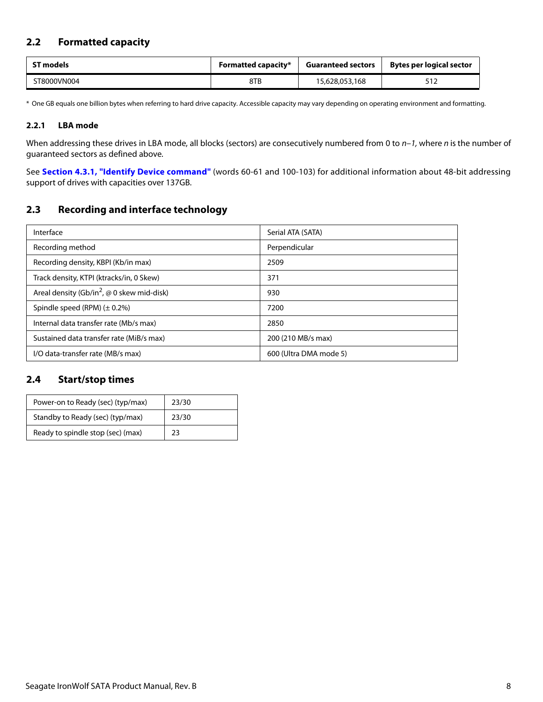## <span id="page-8-0"></span>**2.2 Formatted capacity**

| <b>ST models</b> | <b>Formatted capacity*</b> | <b>Guaranteed sectors</b> | Bytes per logical sector |  |
|------------------|----------------------------|---------------------------|--------------------------|--|
| ST8000VN004      | 8TB                        | 15,628,053,168            |                          |  |

\* One GB equals one billion bytes when referring to hard drive capacity. Accessible capacity may vary depending on operating environment and formatting.

#### <span id="page-8-1"></span>**2.2.1 LBA mode**

When addressing these drives in LBA mode, all blocks (sectors) are consecutively numbered from 0 to  $n-1$ , where n is the number of guaranteed sectors as defined above.

See **[Section 4.3.1, "Identify Device command"](#page-27-0)** (words 60-61 and 100-103) for additional information about 48-bit addressing support of drives with capacities over 137GB.

## <span id="page-8-2"></span>**2.3 Recording and interface technology**

| Interface                                                     | Serial ATA (SATA)      |  |
|---------------------------------------------------------------|------------------------|--|
| Recording method                                              | Perpendicular          |  |
| Recording density, KBPI (Kb/in max)                           | 2509                   |  |
| Track density, KTPI (ktracks/in, 0 Skew)                      | 371                    |  |
| Areal density (Gb/in <sup>2</sup> , $\omega$ 0 skew mid-disk) | 930                    |  |
| Spindle speed (RPM) $(\pm 0.2\%)$                             | 7200                   |  |
| Internal data transfer rate (Mb/s max)                        | 2850                   |  |
| Sustained data transfer rate (MiB/s max)                      | 200 (210 MB/s max)     |  |
| I/O data-transfer rate (MB/s max)                             | 600 (Ultra DMA mode 5) |  |

### <span id="page-8-3"></span>**2.4 Start/stop times**

| Power-on to Ready (sec) (typ/max) | 23/30 |
|-----------------------------------|-------|
| Standby to Ready (sec) (typ/max)  | 23/30 |
| Ready to spindle stop (sec) (max) | 23    |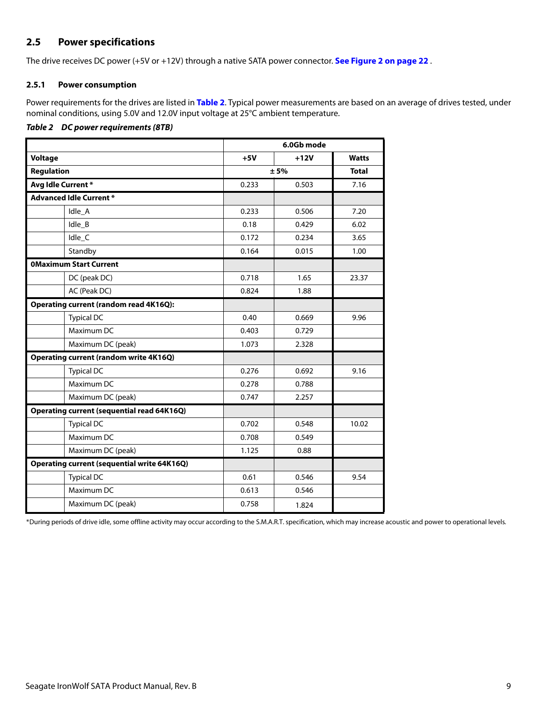## <span id="page-9-0"></span>**2.5 Power specifications**

The drive receives DC power (+5V or +12V) through a native SATA power connector. **[See Figure 2 on page 22](#page-22-5)** .

#### <span id="page-9-1"></span>**2.5.1 Power consumption**

Power requirements for the drives are listed in **[Table 2](#page-9-2)**. Typical power measurements are based on an average of drives tested, under nominal conditions, using 5.0V and 12.0V input voltage at 25°C ambient temperature.

#### <span id="page-9-2"></span>*Table 2 DC power requirements (8TB)*

|                                                    | 6.0Gb mode |        |              |
|----------------------------------------------------|------------|--------|--------------|
| <b>Voltage</b>                                     | $+5V$      | $+12V$ | <b>Watts</b> |
| <b>Regulation</b>                                  | ± 5%       |        | <b>Total</b> |
| Avg Idle Current*                                  | 0.233      | 0.503  | 7.16         |
| <b>Advanced Idle Current *</b>                     |            |        |              |
| Idle_A                                             | 0.233      | 0.506  | 7.20         |
| Idle B                                             | 0.18       | 0.429  | 6.02         |
| Idle_C                                             | 0.172      | 0.234  | 3.65         |
| Standby                                            | 0.164      | 0.015  | 1.00         |
| <b>OMaximum Start Current</b>                      |            |        |              |
| DC (peak DC)                                       | 0.718      | 1.65   | 23.37        |
| AC (Peak DC)                                       | 0.824      | 1.88   |              |
| <b>Operating current (random read 4K16Q):</b>      |            |        |              |
| <b>Typical DC</b>                                  | 0.40       | 0.669  | 9.96         |
| Maximum DC                                         | 0.403      | 0.729  |              |
| Maximum DC (peak)                                  | 1.073      | 2.328  |              |
| <b>Operating current (random write 4K16Q)</b>      |            |        |              |
| <b>Typical DC</b>                                  | 0.276      | 0.692  | 9.16         |
| Maximum DC                                         | 0.278      | 0.788  |              |
| Maximum DC (peak)                                  | 0.747      | 2.257  |              |
| <b>Operating current (sequential read 64K16Q)</b>  |            |        |              |
| <b>Typical DC</b>                                  | 0.702      | 0.548  | 10.02        |
| Maximum DC                                         | 0.708      | 0.549  |              |
| Maximum DC (peak)                                  | 1.125      | 0.88   |              |
| <b>Operating current (sequential write 64K16Q)</b> |            |        |              |
| <b>Typical DC</b>                                  | 0.61       | 0.546  | 9.54         |
| Maximum DC                                         | 0.613      | 0.546  |              |
| Maximum DC (peak)                                  | 0.758      | 1.824  |              |

\*During periods of drive idle, some offline activity may occur according to the S.M.A.R.T. specification, which may increase acoustic and power to operational levels.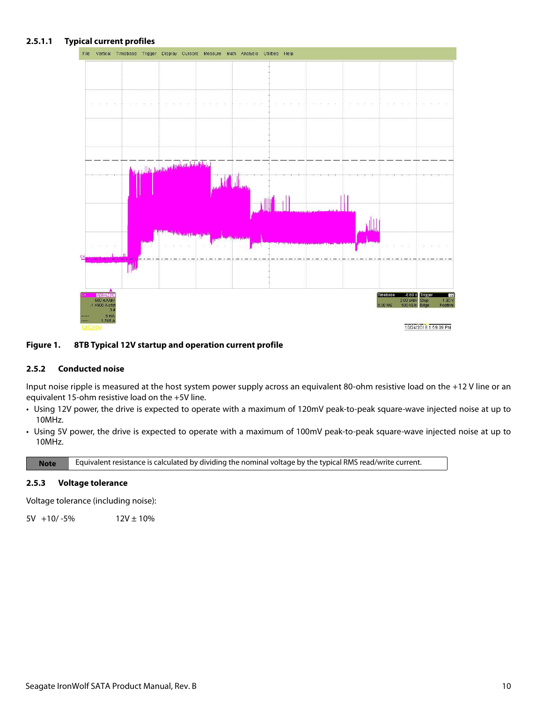#### **2.5.1.1 Typical current profiles**



#### **Figure 1. 8TB Typical 12V startup and operation current profile**

#### <span id="page-10-0"></span>**2.5.2 Conducted noise**

Input noise ripple is measured at the host system power supply across an equivalent 80-ohm resistive load on the +12 V line or an equivalent 15-ohm resistive load on the +5V line.

- Using 12V power, the drive is expected to operate with a maximum of 120mV peak-to-peak square-wave injected noise at up to 10MHz.
- Using 5V power, the drive is expected to operate with a maximum of 100mV peak-to-peak square-wave injected noise at up to 10MHz.

**Note** Equivalent resistance is calculated by dividing the nominal voltage by the typical RMS read/write current.

#### <span id="page-10-1"></span>**2.5.3 Voltage tolerance**

Voltage tolerance (including noise):

 $5V +10/-5\%$  12V ± 10%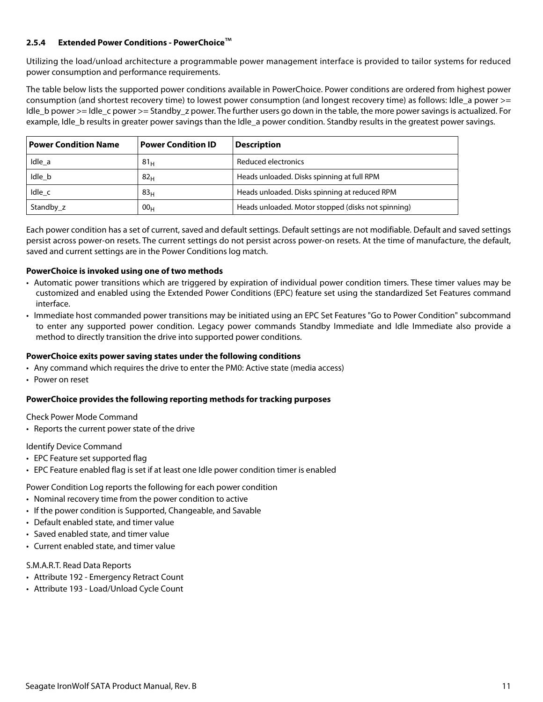#### <span id="page-11-0"></span>**2.5.4 Extended Power Conditions - PowerChoice**™

Utilizing the load/unload architecture a programmable power management interface is provided to tailor systems for reduced power consumption and performance requirements.

The table below lists the supported power conditions available in PowerChoice. Power conditions are ordered from highest power consumption (and shortest recovery time) to lowest power consumption (and longest recovery time) as follows: Idle a power >= Idle\_b power >= Idle\_c power >= Standby\_z power. The further users go down in the table, the more power savings is actualized. For example, Idle\_b results in greater power savings than the Idle\_a power condition. Standby results in the greatest power savings.

| <b>Power Condition Name</b> | <b>Power Condition ID</b> | <b>Description</b>                                 |
|-----------------------------|---------------------------|----------------------------------------------------|
| Idle a                      | 81 <sub>H</sub>           | Reduced electronics                                |
| Idle b                      | 82 <sub>H</sub>           | Heads unloaded. Disks spinning at full RPM         |
| Idle c                      | 83 <sub>H</sub>           | Heads unloaded. Disks spinning at reduced RPM      |
| Standby z                   | 00 <sub>H</sub>           | Heads unloaded. Motor stopped (disks not spinning) |

Each power condition has a set of current, saved and default settings. Default settings are not modifiable. Default and saved settings persist across power-on resets. The current settings do not persist across power-on resets. At the time of manufacture, the default, saved and current settings are in the Power Conditions log match.

#### **PowerChoice is invoked using one of two methods**

- Automatic power transitions which are triggered by expiration of individual power condition timers. These timer values may be customized and enabled using the Extended Power Conditions (EPC) feature set using the standardized Set Features command interface.
- Immediate host commanded power transitions may be initiated using an EPC Set Features "Go to Power Condition" subcommand to enter any supported power condition. Legacy power commands Standby Immediate and Idle Immediate also provide a method to directly transition the drive into supported power conditions.

#### **PowerChoice exits power saving states under the following conditions**

- Any command which requires the drive to enter the PM0: Active state (media access)
- Power on reset

#### **PowerChoice provides the following reporting methods for tracking purposes**

Check Power Mode Command

• Reports the current power state of the drive

#### Identify Device Command

- EPC Feature set supported flag
- EPC Feature enabled flag is set if at least one Idle power condition timer is enabled

#### Power Condition Log reports the following for each power condition

- Nominal recovery time from the power condition to active
- If the power condition is Supported, Changeable, and Savable
- Default enabled state, and timer value
- Saved enabled state, and timer value
- Current enabled state, and timer value

#### S.M.A.R.T. Read Data Reports

- Attribute 192 Emergency Retract Count
- Attribute 193 Load/Unload Cycle Count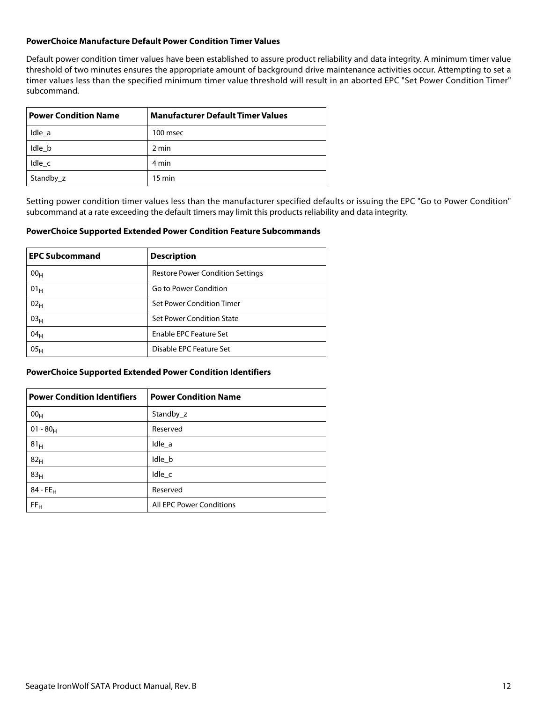#### **PowerChoice Manufacture Default Power Condition Timer Values**

Default power condition timer values have been established to assure product reliability and data integrity. A minimum timer value threshold of two minutes ensures the appropriate amount of background drive maintenance activities occur. Attempting to set a timer values less than the specified minimum timer value threshold will result in an aborted EPC "Set Power Condition Timer" subcommand.

| <b>Power Condition Name</b> | <b>Manufacturer Default Timer Values</b> |  |
|-----------------------------|------------------------------------------|--|
| Idle a                      | 100 msec                                 |  |
| Idle b                      | 2 min                                    |  |
| Idle c                      | 4 min                                    |  |
| Standby_z                   | $15 \text{ min}$                         |  |

Setting power condition timer values less than the manufacturer specified defaults or issuing the EPC "Go to Power Condition" subcommand at a rate exceeding the default timers may limit this products reliability and data integrity.

#### **PowerChoice Supported Extended Power Condition Feature Subcommands**

| <b>EPC Subcommand</b> | <b>Description</b>                      |  |
|-----------------------|-----------------------------------------|--|
| 00 <sub>H</sub>       | <b>Restore Power Condition Settings</b> |  |
| 01 <sub>H</sub>       | Go to Power Condition                   |  |
| 02 <sub>H</sub>       | Set Power Condition Timer               |  |
| 03 <sub>H</sub>       | Set Power Condition State               |  |
| 04 <sub>H</sub>       | Enable EPC Feature Set                  |  |
| 05 <sub>H</sub>       | Disable EPC Feature Set                 |  |

#### **PowerChoice Supported Extended Power Condition Identifiers**

| <b>Power Condition Identifiers</b> | <b>Power Condition Name</b> |
|------------------------------------|-----------------------------|
| 00 <sub>H</sub>                    | Standby z                   |
| $01 - 80_H$                        | Reserved                    |
| 81 <sub>H</sub>                    | Idle_a                      |
| 82 <sub>H</sub>                    | Idle_b                      |
| 83 <sub>H</sub>                    | Idle_c                      |
| $84 - FE_H$                        | Reserved                    |
| FF <sub>H</sub>                    | All EPC Power Conditions    |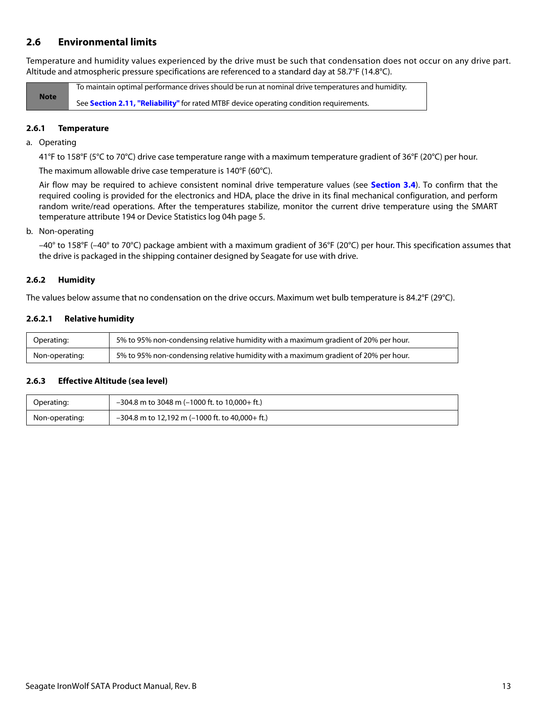## <span id="page-13-0"></span>**2.6 Environmental limits**

Temperature and humidity values experienced by the drive must be such that condensation does not occur on any drive part. Altitude and atmospheric pressure specifications are referenced to a standard day at 58.7°F (14.8°C).

**Note** To maintain optimal performance drives should be run at nominal drive temperatures and humidity. See **[Section 2.11, "Reliability"](#page-16-0)** for rated MTBF device operating condition requirements.

#### <span id="page-13-1"></span>**2.6.1 Temperature**

a. Operating

41°F to 158°F (5°C to 70°C) drive case temperature range with a maximum temperature gradient of 36°F (20°C) per hour.

The maximum allowable drive case temperature is 140°F (60°C).

Air flow may be required to achieve consistent nominal drive temperature values (see **[Section 3.4](#page-22-4)**). To confirm that the required cooling is provided for the electronics and HDA, place the drive in its final mechanical configuration, and perform random write/read operations. After the temperatures stabilize, monitor the current drive temperature using the SMART temperature attribute 194 or Device Statistics log 04h page 5.

#### b. Non-operating

–40° to 158°F (–40° to 70°C) package ambient with a maximum gradient of 36°F (20°C) per hour. This specification assumes that the drive is packaged in the shipping container designed by Seagate for use with drive.

#### <span id="page-13-2"></span>**2.6.2 Humidity**

The values below assume that no condensation on the drive occurs. Maximum wet bulb temperature is 84.2°F (29°C).

#### **2.6.2.1 Relative humidity**

| Operating:     | 5% to 95% non-condensing relative humidity with a maximum gradient of 20% per hour. |
|----------------|-------------------------------------------------------------------------------------|
| Non-operating: | 5% to 95% non-condensing relative humidity with a maximum gradient of 20% per hour. |

#### <span id="page-13-3"></span>**2.6.3 Effective Altitude (sea level)**

| Operating:     | $-304.8$ m to 3048 m (-1000 ft. to 10.000+ ft.)   |
|----------------|---------------------------------------------------|
| Non-operating: | $-304.8$ m to 12,192 m (-1000 ft. to 40,000+ ft.) |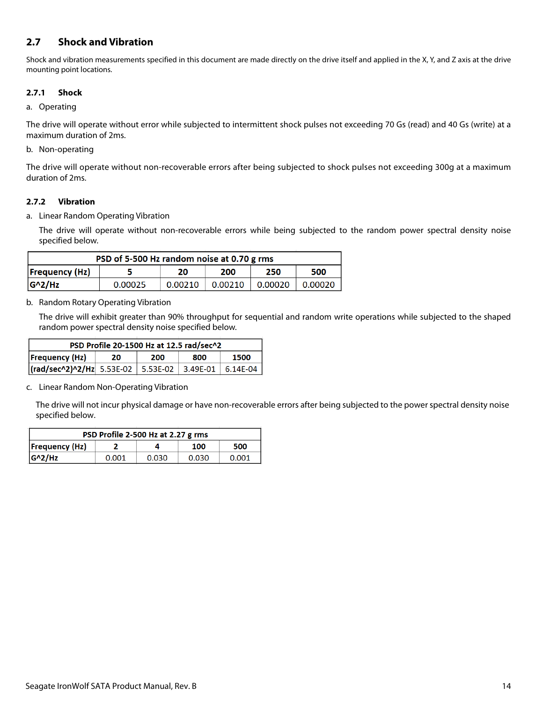## <span id="page-14-0"></span>**2.7 Shock and Vibration**

Shock and vibration measurements specified in this document are made directly on the drive itself and applied in the X, Y, and Z axis at the drive mounting point locations.

#### <span id="page-14-1"></span>**2.7.1 Shock**

#### a. Operating

The drive will operate without error while subjected to intermittent shock pulses not exceeding 70 Gs (read) and 40 Gs (write) at a maximum duration of 2ms.

#### b. Non-operating

The drive will operate without non-recoverable errors after being subjected to shock pulses not exceeding 300g at a maximum duration of 2ms.

#### <span id="page-14-2"></span>**2.7.2 Vibration**

a. Linear Random Operating Vibration

The drive will operate without non-recoverable errors while being subjected to the random power spectral density noise specified below.

| PSD of 5-500 Hz random noise at 0.70 g rms       |         |         |         |         |         |
|--------------------------------------------------|---------|---------|---------|---------|---------|
| <b>Frequency (Hz)</b><br>250<br>500<br>200<br>20 |         |         |         |         |         |
| $G^2/Hz$                                         | 0.00025 | 0.00210 | 0.00210 | 0.00020 | 0.00020 |

#### b. Random Rotary Operating Vibration

The drive will exhibit greater than 90% throughput for sequential and random write operations while subjected to the shaped random power spectral density noise specified below.

| PSD Profile 20-1500 Hz at 12.5 rad/sec^2          |  |  |  |  |  |
|---------------------------------------------------|--|--|--|--|--|
| <b>Frequency (Hz)</b><br>1500<br>200<br>20<br>800 |  |  |  |  |  |
|                                                   |  |  |  |  |  |

c. Linear Random Non-Operating Vibration

The drive will not incur physical damage or have non-recoverable errors after being subjected to the power spectral density noise specified below.

| PSD Profile 2-500 Hz at 2.27 g rms |       |       |       |       |  |  |
|------------------------------------|-------|-------|-------|-------|--|--|
| Frequency(Hz)                      |       |       | 100   | 500   |  |  |
| $ G^2/HZ $                         | 0.001 | 0.030 | 0.030 | 0.001 |  |  |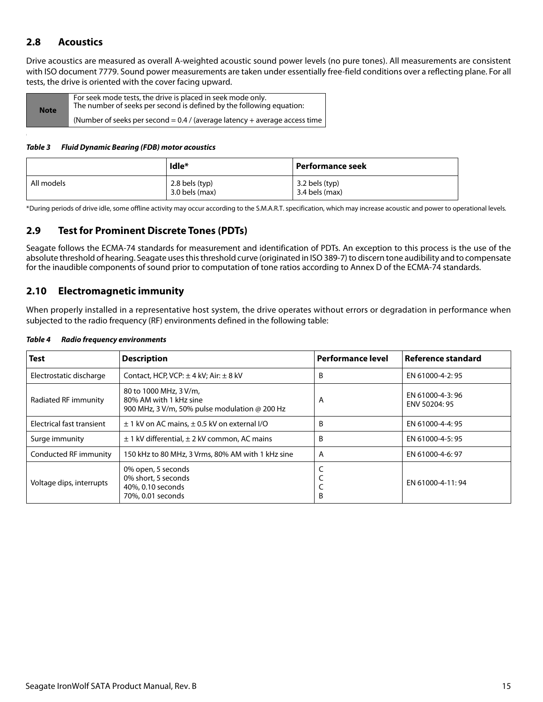## <span id="page-15-0"></span>**2.8 Acoustics**

Drive acoustics are measured as overall A-weighted acoustic sound power levels (no pure tones). All measurements are consistent with ISO document 7779. Sound power measurements are taken under essentially free-field conditions over a reflecting plane. For all tests, the drive is oriented with the cover facing upward.

| <b>Note</b> | For seek mode tests, the drive is placed in seek mode only.<br>The number of seeks per second is defined by the following equation: |
|-------------|-------------------------------------------------------------------------------------------------------------------------------------|
|             | (Number of seeks per second $= 0.4$ / (average latency + average access time )                                                      |

#### *Table 3 Fluid Dynamic Bearing (FDB) motor acoustics*

|            | Idle*                                | Performance seek                 |
|------------|--------------------------------------|----------------------------------|
| All models | $2.8$ bels (typ)<br>$3.0$ bels (max) | 3.2 bels (typ)<br>3.4 bels (max) |

\*During periods of drive idle, some offline activity may occur according to the S.M.A.R.T. specification, which may increase acoustic and power to operational levels.

## <span id="page-15-1"></span>**2.9 Test for Prominent Discrete Tones (PDTs)**

Seagate follows the ECMA-74 standards for measurement and identification of PDTs. An exception to this process is the use of the absolute threshold of hearing. Seagate uses this threshold curve (originated in ISO 389-7) to discern tone audibility and to compensate for the inaudible components of sound prior to computation of tone ratios according to Annex D of the ECMA-74 standards.

### <span id="page-15-2"></span>**2.10 Electromagnetic immunity**

When properly installed in a representative host system, the drive operates without errors or degradation in performance when subjected to the radio frequency (RF) environments defined in the following table:

| <b>Test</b>               | <b>Description</b>                                                                                | <b>Performance level</b> | Reference standard               |
|---------------------------|---------------------------------------------------------------------------------------------------|--------------------------|----------------------------------|
| Electrostatic discharge   | Contact, HCP, VCP: $\pm$ 4 kV; Air: $\pm$ 8 kV                                                    | B                        | EN 61000-4-2: 95                 |
| Radiated RF immunity      | 80 to 1000 MHz, 3 V/m,<br>80% AM with 1 kHz sine<br>900 MHz, 3 V/m, 50% pulse modulation @ 200 Hz | A                        | EN 61000-4-3:96<br>ENV 50204: 95 |
| Electrical fast transient | $\pm$ 1 kV on AC mains, $\pm$ 0.5 kV on external I/O                                              | B                        | EN 61000-4-4: 95                 |
| Surge immunity            | $\pm$ 1 kV differential, $\pm$ 2 kV common, AC mains                                              | B                        | EN 61000-4-5: 95                 |
| Conducted RF immunity     | 150 kHz to 80 MHz, 3 Vrms, 80% AM with 1 kHz sine                                                 | A                        | EN 61000-4-6: 97                 |
| Voltage dips, interrupts  | 0% open, 5 seconds<br>0% short, 5 seconds<br>40%, 0.10 seconds<br>70%, 0.01 seconds               | B                        | EN 61000-4-11:94                 |

#### *Table 4 Radio frequency environments*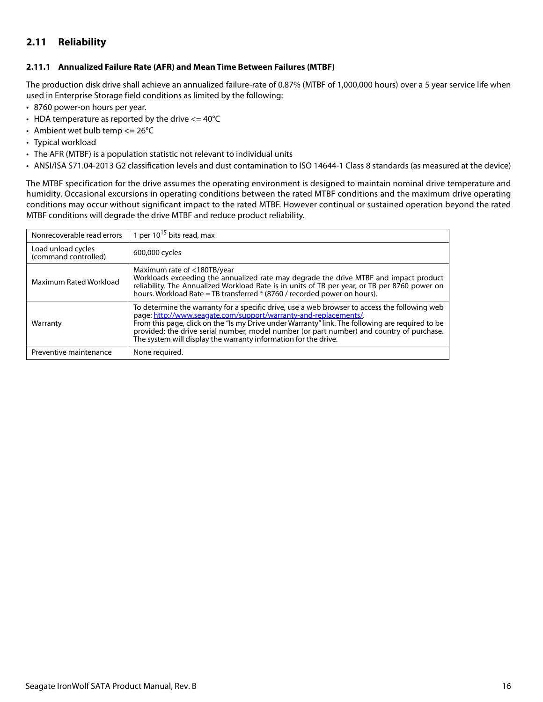## <span id="page-16-0"></span>**2.11 Reliability**

#### <span id="page-16-1"></span>**2.11.1 Annualized Failure Rate (AFR) and Mean Time Between Failures (MTBF)**

The production disk drive shall achieve an annualized failure-rate of 0.87% (MTBF of 1,000,000 hours) over a 5 year service life when used in Enterprise Storage field conditions as limited by the following:

- 8760 power-on hours per year.
- HDA temperature as reported by the drive  $\epsilon$  = 40°C
- Ambient wet bulb temp  $<= 26^{\circ}C$
- Typical workload
- The AFR (MTBF) is a population statistic not relevant to individual units
- ANSI/ISA S71.04-2013 G2 classification levels and dust contamination to ISO 14644-1 Class 8 standards (as measured at the device)

The MTBF specification for the drive assumes the operating environment is designed to maintain nominal drive temperature and humidity. Occasional excursions in operating conditions between the rated MTBF conditions and the maximum drive operating conditions may occur without significant impact to the rated MTBF. However continual or sustained operation beyond the rated MTBF conditions will degrade the drive MTBF and reduce product reliability.

| Nonrecoverable read errors                 | 1 per $10^{15}$ bits read, max                                                                                                                                                                                                                                                                                                                                                                                                        |
|--------------------------------------------|---------------------------------------------------------------------------------------------------------------------------------------------------------------------------------------------------------------------------------------------------------------------------------------------------------------------------------------------------------------------------------------------------------------------------------------|
| Load unload cycles<br>(command controlled) | 600,000 cycles                                                                                                                                                                                                                                                                                                                                                                                                                        |
| Maximum Rated Workload                     | Maximum rate of <180TB/year<br>Workloads exceeding the annualized rate may degrade the drive MTBF and impact product<br>reliability. The Annualized Workload Rate is in units of TB per year, or TB per 8760 power on<br>hours. Workload Rate = TB transferred * (8760 / recorded power on hours).                                                                                                                                    |
| Warranty                                   | To determine the warranty for a specific drive, use a web browser to access the following web<br>page: http://www.seagate.com/support/warranty-and-replacements/.<br>From this page, click on the "Is my Drive under Warranty" link. The following are required to be<br>provided: the drive serial number, model number (or part number) and country of purchase.<br>The system will display the warranty information for the drive. |
| Preventive maintenance                     | None required.                                                                                                                                                                                                                                                                                                                                                                                                                        |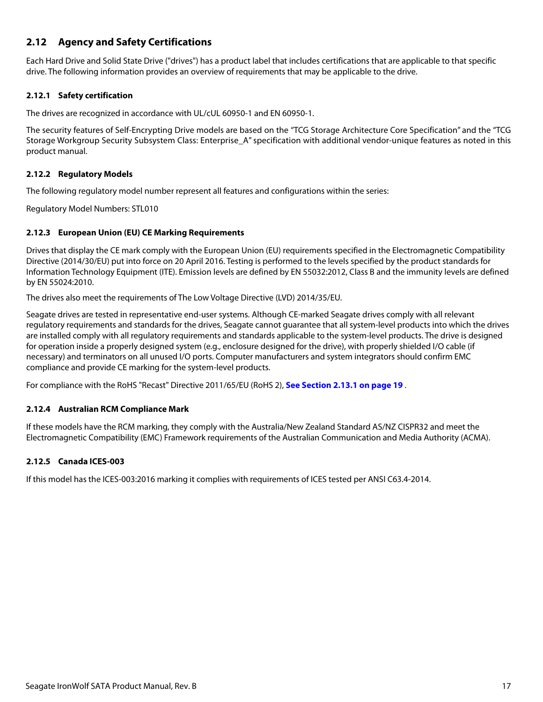## <span id="page-17-0"></span>**2.12 Agency and Safety Certifications**

Each Hard Drive and Solid State Drive ("drives") has a product label that includes certifications that are applicable to that specific drive. The following information provides an overview of requirements that may be applicable to the drive.

#### <span id="page-17-1"></span>**2.12.1 Safety certification**

The drives are recognized in accordance with UL/cUL 60950-1 and EN 60950-1.

The security features of Self-Encrypting Drive models are based on the "TCG Storage Architecture Core Specification" and the "TCG Storage Workgroup Security Subsystem Class: Enterprise A" specification with additional vendor-unique features as noted in this product manual.

#### <span id="page-17-2"></span>**2.12.2 Regulatory Models**

The following regulatory model number represent all features and configurations within the series:

Regulatory Model Numbers: STL010

#### <span id="page-17-3"></span>**2.12.3 European Union (EU) CE Marking Requirements**

Drives that display the CE mark comply with the European Union (EU) requirements specified in the Electromagnetic Compatibility Directive (2014/30/EU) put into force on 20 April 2016. Testing is performed to the levels specified by the product standards for Information Technology Equipment (ITE). Emission levels are defined by EN 55032:2012, Class B and the immunity levels are defined by EN 55024:2010.

The drives also meet the requirements of The Low Voltage Directive (LVD) 2014/35/EU.

Seagate drives are tested in representative end-user systems. Although CE-marked Seagate drives comply with all relevant regulatory requirements and standards for the drives, Seagate cannot guarantee that all system-level products into which the drives are installed comply with all regulatory requirements and standards applicable to the system-level products. The drive is designed for operation inside a properly designed system (e.g., enclosure designed for the drive), with properly shielded I/O cable (if necessary) and terminators on all unused I/O ports. Computer manufacturers and system integrators should confirm EMC compliance and provide CE marking for the system-level products.

For compliance with the RoHS "Recast" Directive 2011/65/EU (RoHS 2), **[See Section 2.13.1 on page 19](#page-19-1)** .

#### <span id="page-17-4"></span>**2.12.4 Australian RCM Compliance Mark**

If these models have the RCM marking, they comply with the Australia/New Zealand Standard AS/NZ CISPR32 and meet the Electromagnetic Compatibility (EMC) Framework requirements of the Australian Communication and Media Authority (ACMA).

#### <span id="page-17-5"></span>**2.12.5 Canada ICES-003**

If this model has the ICES-003:2016 marking it complies with requirements of ICES tested per ANSI C63.4-2014.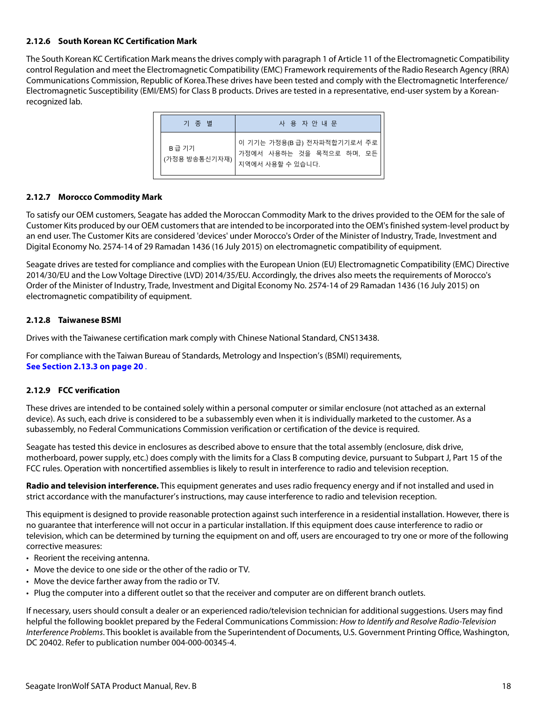#### <span id="page-18-0"></span>**2.12.6 South Korean KC Certification Mark**

The South Korean KC Certification Mark means the drives comply with paragraph 1 of Article 11 of the Electromagnetic Compatibility control Regulation and meet the Electromagnetic Compatibility (EMC) Framework requirements of the Radio Research Agency (RRA) Communications Commission, Republic of Korea.These drives have been tested and comply with the Electromagnetic Interference/ Electromagnetic Susceptibility (EMI/EMS) for Class B products. Drives are tested in a representative, end-user system by a Koreanrecognized lab.

| 기 종 별                  | 사 용 자 안 내 문                                                                 |
|------------------------|-----------------------------------------------------------------------------|
| B급 기기<br>(가정용 방송통신기자재) | 이 기기는 가정용(B 급) 전자파적합기기로서 주로<br>가정에서 사용하는 것을 목적으로 하며, 모든<br>지역에서 사용할 수 있습니다. |

#### <span id="page-18-1"></span>**2.12.7 Morocco Commodity Mark**

To satisfy our OEM customers, Seagate has added the Moroccan Commodity Mark to the drives provided to the OEM for the sale of Customer Kits produced by our OEM customers that are intended to be incorporated into the OEM's finished system-level product by an end user. The Customer Kits are considered 'devices' under Morocco's Order of the Minister of Industry, Trade, Investment and Digital Economy No. 2574-14 of 29 Ramadan 1436 (16 July 2015) on electromagnetic compatibility of equipment.

Seagate drives are tested for compliance and complies with the European Union (EU) Electromagnetic Compatibility (EMC) Directive 2014/30/EU and the Low Voltage Directive (LVD) 2014/35/EU. Accordingly, the drives also meets the requirements of Morocco's Order of the Minister of Industry, Trade, Investment and Digital Economy No. 2574-14 of 29 Ramadan 1436 (16 July 2015) on electromagnetic compatibility of equipment.

#### <span id="page-18-2"></span>**2.12.8 Taiwanese BSMI**

Drives with the Taiwanese certification mark comply with Chinese National Standard, CNS13438.

For compliance with the Taiwan Bureau of Standards, Metrology and Inspection's (BSMI) requirements, **[See Section 2.13.3 on page 20](#page-20-0)** .

#### <span id="page-18-3"></span>**2.12.9 FCC verification**

These drives are intended to be contained solely within a personal computer or similar enclosure (not attached as an external device). As such, each drive is considered to be a subassembly even when it is individually marketed to the customer. As a subassembly, no Federal Communications Commission verification or certification of the device is required.

Seagate has tested this device in enclosures as described above to ensure that the total assembly (enclosure, disk drive, motherboard, power supply, etc.) does comply with the limits for a Class B computing device, pursuant to Subpart J, Part 15 of the FCC rules. Operation with noncertified assemblies is likely to result in interference to radio and television reception.

**Radio and television interference.** This equipment generates and uses radio frequency energy and if not installed and used in strict accordance with the manufacturer's instructions, may cause interference to radio and television reception.

This equipment is designed to provide reasonable protection against such interference in a residential installation. However, there is no guarantee that interference will not occur in a particular installation. If this equipment does cause interference to radio or television, which can be determined by turning the equipment on and off, users are encouraged to try one or more of the following corrective measures:

- Reorient the receiving antenna.
- Move the device to one side or the other of the radio or TV.
- Move the device farther away from the radio or TV.
- Plug the computer into a different outlet so that the receiver and computer are on different branch outlets.

If necessary, users should consult a dealer or an experienced radio/television technician for additional suggestions. Users may find helpful the following booklet prepared by the Federal Communications Commission: How to Identify and Resolve Radio-Television Interference Problems. This booklet is available from the Superintendent of Documents, U.S. Government Printing Office, Washington, DC 20402. Refer to publication number 004-000-00345-4.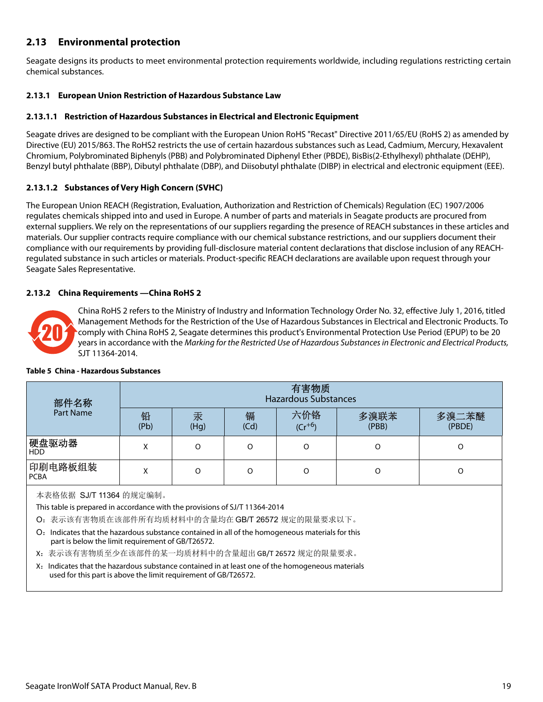## <span id="page-19-0"></span>**2.13 Environmental protection**

Seagate designs its products to meet environmental protection requirements worldwide, including regulations restricting certain chemical substances.

#### <span id="page-19-1"></span>**2.13.1 European Union Restriction of Hazardous Substance Law**

#### **2.13.1.1 Restriction of Hazardous Substances in Electrical and Electronic Equipment**

Seagate drives are designed to be compliant with the European Union RoHS "Recast" Directive 2011/65/EU (RoHS 2) as amended by Directive (EU) 2015/863. The RoHS2 restricts the use of certain hazardous substances such as Lead, Cadmium, Mercury, Hexavalent Chromium, Polybrominated Biphenyls (PBB) and Polybrominated Diphenyl Ether (PBDE), BisBis(2-Ethylhexyl) phthalate (DEHP), Benzyl butyl phthalate (BBP), Dibutyl phthalate (DBP), and Diisobutyl phthalate (DIBP) in electrical and electronic equipment (EEE).

#### **2.13.1.2 Substances of Very High Concern (SVHC)**

The European Union REACH (Registration, Evaluation, Authorization and Restriction of Chemicals) Regulation (EC) 1907/2006 regulates chemicals shipped into and used in Europe. A number of parts and materials in Seagate products are procured from external suppliers. We rely on the representations of our suppliers regarding the presence of REACH substances in these articles and materials. Our supplier contracts require compliance with our chemical substance restrictions, and our suppliers document their compliance with our requirements by providing full-disclosure material content declarations that disclose inclusion of any REACHregulated substance in such articles or materials. Product-specific REACH declarations are available upon request through your Seagate Sales Representative.

#### <span id="page-19-2"></span>**2.13.2 China Requirements —China RoHS 2**



China RoHS 2 refers to the Ministry of Industry and Information Technology Order No. 32, effective July 1, 2016, titled Management Methods for the Restriction of the Use of Hazardous Substances in Electrical and Electronic Products. To comply with China RoHS 2, Seagate determines this product's Environmental Protection Use Period (EPUP) to be 20 years in accordance with the Marking for the Restricted Use of Hazardous Substances in Electronic and Electrical Products, SJT 11364-2014.

| 部件名称                                                                                                                                                                | 有害物质<br><b>Hazardous Substances</b> |           |           |                    |               |                 |
|---------------------------------------------------------------------------------------------------------------------------------------------------------------------|-------------------------------------|-----------|-----------|--------------------|---------------|-----------------|
| <b>Part Name</b>                                                                                                                                                    | 铅<br>(Pb)                           | 汞<br>(Hq) | 镉<br>(Cd) | 六价铬<br>$(Cr^{+6})$ | 多溴联苯<br>(PBB) | 多溴二苯醚<br>(PBDE) |
| 硬盘驱动器<br><b>HDD</b>                                                                                                                                                 | x                                   | $\Omega$  | $\Omega$  | $\Omega$           | O             | O               |
| 印刷电路板组装<br><b>PCBA</b>                                                                                                                                              | x                                   | $\Omega$  | O         | O<br>O             |               | O               |
| 本表格依据 SJ/T 11364 的规定编制。<br>This table is prepared in accordance with the provisions of SJ/T 11364-2014<br>O: 表示该有害物质在该部件所有均质材料中的含量均在 GB/T 26572 规定的限量要求以下。          |                                     |           |           |                    |               |                 |
| Indicates that the hazardous substance contained in all of the homogeneous materials for this<br>O:<br>part is below the limit requirement of GB/T26572.            |                                     |           |           |                    |               |                 |
| X: 表示该有害物质至少在该部件的某一均质材料中的含量超出 GB/T 26572 规定的限量要求。                                                                                                                   |                                     |           |           |                    |               |                 |
| X: Indicates that the hazardous substance contained in at least one of the homogeneous materials<br>used for this part is above the limit requirement of GB/T26572. |                                     |           |           |                    |               |                 |

#### **Table 5 China - Hazardous Substances**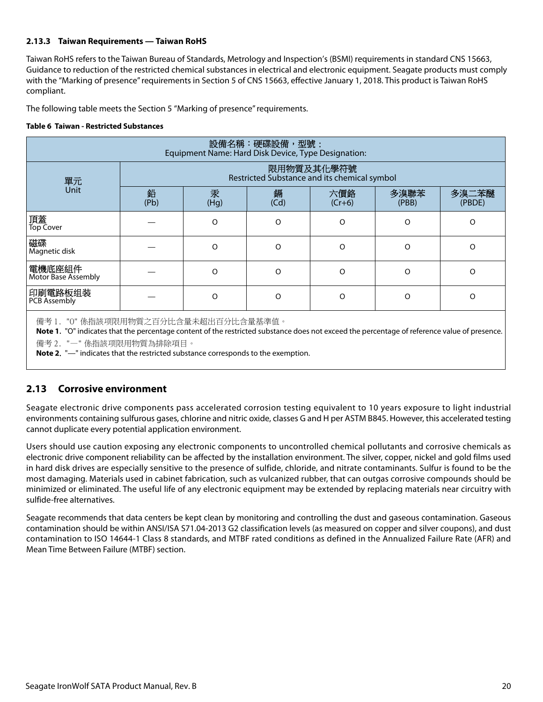#### <span id="page-20-0"></span>**2.13.3 Taiwan Requirements — Taiwan RoHS**

Taiwan RoHS refers to the Taiwan Bureau of Standards, Metrology and Inspection's (BSMI) requirements in standard CNS 15663, Guidance to reduction of the restricted chemical substances in electrical and electronic equipment. Seagate products must comply with the "Marking of presence" requirements in Section 5 of CNS 15663, effective January 1, 2018. This product is Taiwan RoHS compliant.

The following table meets the Section 5 "Marking of presence" requirements.

#### **Table 6 Taiwan - Restricted Substances**

| 設備名稱:硬碟設備,型號:<br>Equipment Name: Hard Disk Device, Type Designation:                                                                                                                                                                                                                                         |                                                            |           |           |                 |               |                 |
|--------------------------------------------------------------------------------------------------------------------------------------------------------------------------------------------------------------------------------------------------------------------------------------------------------------|------------------------------------------------------------|-----------|-----------|-----------------|---------------|-----------------|
| 單元<br><b>Unit</b>                                                                                                                                                                                                                                                                                            | 限用物質及其化學符號<br>Restricted Substance and its chemical symbol |           |           |                 |               |                 |
|                                                                                                                                                                                                                                                                                                              | 鉛<br>(Pb)                                                  | 汞<br>(Hg) | 銿<br>(Cd) | 六價鉻<br>$(Cr+6)$ | 多溴聯苯<br>(PBB) | 多溴二苯醚<br>(PBDE) |
| 頂蓋<br><b>Top Cover</b>                                                                                                                                                                                                                                                                                       |                                                            | $\Omega$  | $\Omega$  | O               | $\Omega$      | $\Omega$        |
| 磁碟<br>Magnetic disk                                                                                                                                                                                                                                                                                          |                                                            | $\Omega$  | $\Omega$  | $\Omega$        | $\Omega$      | $\Omega$        |
| 電機底座組件<br>Motor Base Assembly                                                                                                                                                                                                                                                                                |                                                            | $\Omega$  | $\Omega$  | $\Omega$        | $\Omega$      | $\Omega$        |
| 印刷電路板组装<br>PCB Assembly                                                                                                                                                                                                                                                                                      |                                                            | $\Omega$  | $\Omega$  | O               | $\Omega$      | O               |
| 備考 1. "0" 係指該项限用物質之百分比含量未超出百分比含量基準值。<br>Note 1. "O" indicates that the percentage content of the restricted substance does not exceed the percentage of reference value of presence.<br>備考 2. "一" 係指該项限用物質為排除項目。<br><b>Note 2.</b> "-" indicates that the restricted substance corresponds to the exemption. |                                                            |           |           |                 |               |                 |

#### <span id="page-20-1"></span>**2.13 Corrosive environment**

Seagate electronic drive components pass accelerated corrosion testing equivalent to 10 years exposure to light industrial environments containing sulfurous gases, chlorine and nitric oxide, classes G and H per ASTM B845. However, this accelerated testing cannot duplicate every potential application environment.

Users should use caution exposing any electronic components to uncontrolled chemical pollutants and corrosive chemicals as electronic drive component reliability can be affected by the installation environment. The silver, copper, nickel and gold films used in hard disk drives are especially sensitive to the presence of sulfide, chloride, and nitrate contaminants. Sulfur is found to be the most damaging. Materials used in cabinet fabrication, such as vulcanized rubber, that can outgas corrosive compounds should be minimized or eliminated. The useful life of any electronic equipment may be extended by replacing materials near circuitry with sulfide-free alternatives.

Seagate recommends that data centers be kept clean by monitoring and controlling the dust and gaseous contamination. Gaseous contamination should be within ANSI/ISA S71.04-2013 G2 classification levels (as measured on copper and silver coupons), and dust contamination to ISO 14644-1 Class 8 standards, and MTBF rated conditions as defined in the Annualized Failure Rate (AFR) and Mean Time Between Failure (MTBF) section.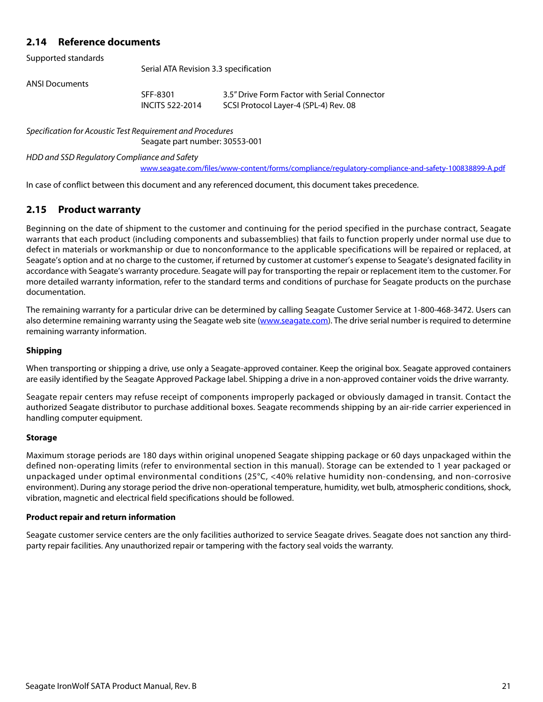## <span id="page-21-0"></span>**2.14 Reference documents**

Supported standards

Serial ATA Revision 3.3 specification

ANSI Documents

SFF-8301 3.5" Drive Form Factor with Serial Connector INCITS 522-2014 SCSI Protocol Layer-4 (SPL-4) Rev. 08

Specification for Acoustic Test Requirement and Procedures

Seagate part number: 30553-001

HDD and SSD Regulatory Compliance and Safety

[w](www.seagate.com/files/www-content/forms/compliance/regulatory-compliance-and-safety-100838899-A.pdf)ww.seagate.com/files/www-content/forms/compliance/regulatory-compliance-and-safety-100838899-A.pdf

In case of conflict between this document and any referenced document, this document takes precedence.

### <span id="page-21-1"></span>**2.15 Product warranty**

Beginning on the date of shipment to the customer and continuing for the period specified in the purchase contract, Seagate warrants that each product (including components and subassemblies) that fails to function properly under normal use due to defect in materials or workmanship or due to nonconformance to the applicable specifications will be repaired or replaced, at Seagate's option and at no charge to the customer, if returned by customer at customer's expense to Seagate's designated facility in accordance with Seagate's warranty procedure. Seagate will pay for transporting the repair or replacement item to the customer. For more detailed warranty information, refer to the standard terms and conditions of purchase for Seagate products on the purchase documentation.

[The remaining warranty for a particular drive can be determined by calling Seagate Customer Service at 1-800-468-3472. Users can](http://www.seagate.com) [also determine remaining warranty using the Seagate web site \(](http://www.seagate.com)www.seagate.com). The drive serial number is required to determine remaining warranty information.

#### **Shipping**

When transporting or shipping a drive, use only a Seagate-approved container. Keep the original box. Seagate approved containers are easily identified by the Seagate Approved Package label. Shipping a drive in a non-approved container voids the drive warranty.

Seagate repair centers may refuse receipt of components improperly packaged or obviously damaged in transit. Contact the authorized Seagate distributor to purchase additional boxes. Seagate recommends shipping by an air-ride carrier experienced in handling computer equipment.

#### **Storage**

Maximum storage periods are 180 days within original unopened Seagate shipping package or 60 days unpackaged within the defined non-operating limits (refer to environmental section in this manual). Storage can be extended to 1 year packaged or unpackaged under optimal environmental conditions (25°C, <40% relative humidity non-condensing, and non-corrosive environment). During any storage period the drive non-operational temperature, humidity, wet bulb, atmospheric conditions, shock, vibration, magnetic and electrical field specifications should be followed.

#### **Product repair and return information**

Seagate customer service centers are the only facilities authorized to service Seagate drives. Seagate does not sanction any thirdparty repair facilities. Any unauthorized repair or tampering with the factory seal voids the warranty.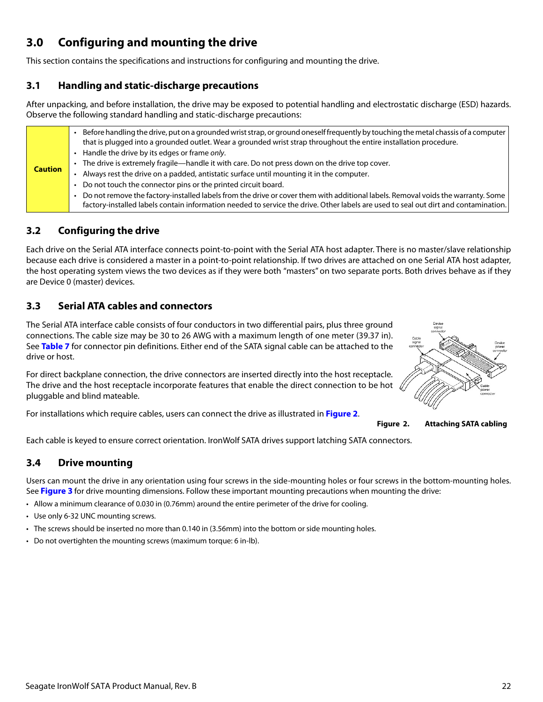# <span id="page-22-0"></span>**3.0 Configuring and mounting the drive**

This section contains the specifications and instructions for configuring and mounting the drive.

## <span id="page-22-1"></span>**3.1 Handling and static-discharge precautions**

After unpacking, and before installation, the drive may be exposed to potential handling and electrostatic discharge (ESD) hazards. Observe the following standard handling and static-discharge precautions:

| <b>Caution</b> |
|----------------|

## <span id="page-22-2"></span>**3.2 Configuring the drive**

Each drive on the Serial ATA interface connects point-to-point with the Serial ATA host adapter. There is no master/slave relationship because each drive is considered a master in a point-to-point relationship. If two drives are attached on one Serial ATA host adapter, the host operating system views the two devices as if they were both "masters" on two separate ports. Both drives behave as if they are Device 0 (master) devices.

## <span id="page-22-3"></span>**3.3 Serial ATA cables and connectors**

The Serial ATA interface cable consists of four conductors in two differential pairs, plus three ground connections. The cable size may be 30 to 26 AWG with a maximum length of one meter (39.37 in). See **Table 7** for connector pin definitions. Either end of the SATA signal cable can be attached to the drive or host.

For direct backplane connection, the drive connectors are inserted directly into the host receptacle. The drive and the host receptacle incorporate features that enable the direct connection to be hot  $\chi$ pluggable and blind mateable.

<span id="page-22-5"></span>For installations which require cables, users can connect the drive as illustrated in **[Figure 2](#page-22-5)**.



**Figure 2. Attaching SATA cabling**

Each cable is keyed to ensure correct orientation. IronWolf SATA drives support latching SATA connectors.

## <span id="page-22-4"></span>**3.4 Drive mounting**

Users can mount the drive in any orientation using four screws in the side-mounting holes or four screws in the bottom-mounting holes. See **Figure 3** for drive mounting dimensions. Follow these important mounting precautions when mounting the drive:

- Allow a minimum clearance of 0.030 in (0.76mm) around the entire perimeter of the drive for cooling.
- Use only 6-32 UNC mounting screws.
- The screws should be inserted no more than 0.140 in (3.56mm) into the bottom or side mounting holes.
- Do not overtighten the mounting screws (maximum torque: 6 in-lb).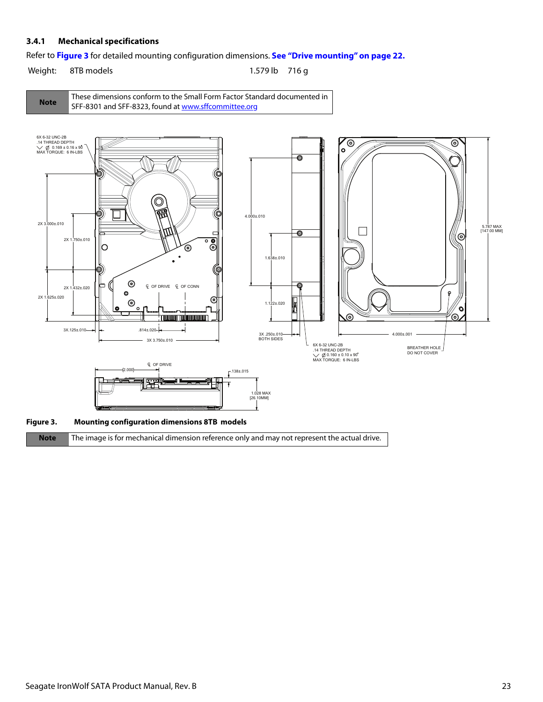#### <span id="page-23-0"></span>**3.4.1 Mechanical specifications**

Refer to **Figure 3** for detailed mounting configuration dimensions. **[See "Drive mounting" on page 22.](#page-22-4)**

Weight: 8TB models 1.579 lb 716 g





**Note** The image is for mechanical dimension reference only and may not represent the actual drive.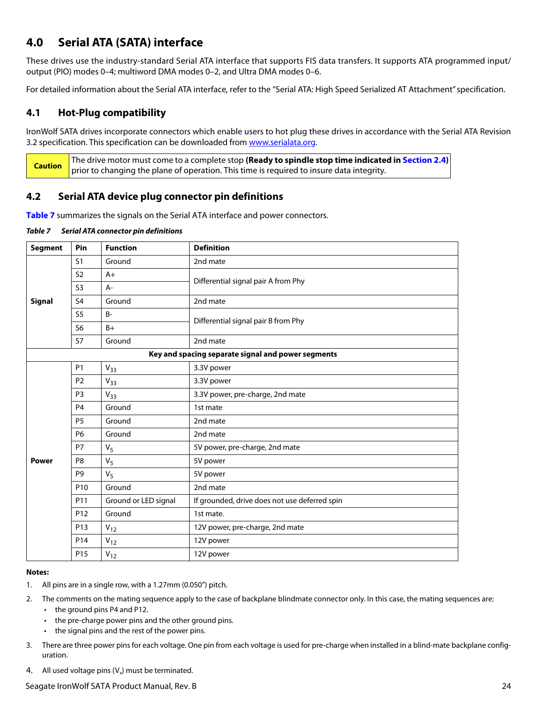## <span id="page-24-0"></span>**4.0 Serial ATA (SATA) interface**

These drives use the industry-standard Serial ATA interface that supports FIS data transfers. It supports ATA programmed input/ output (PIO) modes 0–4; multiword DMA modes 0–2, and Ultra DMA modes 0–6.

For detailed information about the Serial ATA interface, refer to the "Serial ATA: High Speed Serialized AT Attachment" specification.

## <span id="page-24-1"></span>**4.1 Hot-Plug compatibility**

IronWolf SATA drives incorporate connectors which enable users to hot plug these drives in accordance with the Serial ATA Revision 3.2 specification. This specification can be downloaded from [www.serialata.or](http://www.serialata.org)g.

**Caution** The drive motor must come to a complete stop **(Ready to spindle stop time indicated in [Section 2.4](#page-8-3))** prior to changing the plane of operation. This time is required to insure data integrity.

## <span id="page-24-2"></span>**4.2 Serial ATA device plug connector pin definitions**

**Table 7** summarizes the signals on the Serial ATA interface and power connectors.

*Table 7 Serial ATA connector pin definitions*

| <b>Segment</b> | Pin             | <b>Function</b>      | <b>Definition</b>                                  |  |
|----------------|-----------------|----------------------|----------------------------------------------------|--|
|                | S <sub>1</sub>  | Ground               | 2nd mate                                           |  |
|                | S <sub>2</sub>  | $A+$                 | Differential signal pair A from Phy                |  |
|                | S <sub>3</sub>  | $A-$                 |                                                    |  |
| <b>Signal</b>  | S <sub>4</sub>  | Ground               | 2nd mate                                           |  |
|                | S <sub>5</sub>  | $B -$                | Differential signal pair B from Phy                |  |
|                | S <sub>6</sub>  | $B+$                 |                                                    |  |
|                | S7              | Ground               | 2nd mate                                           |  |
|                |                 |                      | Key and spacing separate signal and power segments |  |
|                | <b>P1</b>       | $V_{33}$             | 3.3V power                                         |  |
|                | P <sub>2</sub>  | $V_{33}$             | 3.3V power                                         |  |
|                | P <sub>3</sub>  | $V_{33}$             | 3.3V power, pre-charge, 2nd mate                   |  |
|                | P <sub>4</sub>  | Ground               | 1st mate                                           |  |
|                | <b>P5</b>       | Ground               | 2nd mate                                           |  |
|                | P6              | Ground               | 2nd mate                                           |  |
|                | P7              | V <sub>5</sub>       | 5V power, pre-charge, 2nd mate                     |  |
| <b>Power</b>   | P <sub>8</sub>  | $V_5$                | 5V power                                           |  |
|                | P <sub>9</sub>  | V <sub>5</sub>       | 5V power                                           |  |
|                | P <sub>10</sub> | Ground               | 2nd mate                                           |  |
|                | P11             | Ground or LED signal | If grounded, drive does not use deferred spin      |  |
|                | P <sub>12</sub> | Ground               | 1st mate.                                          |  |
|                | P13             | $V_{12}$             | 12V power, pre-charge, 2nd mate                    |  |
|                | P14             | $V_{12}$             | 12V power                                          |  |
|                | P <sub>15</sub> | $V_{12}$             | 12V power                                          |  |

#### **Notes:**

- 1. All pins are in a single row, with a 1.27mm (0.050") pitch.
- 2. The comments on the mating sequence apply to the case of backplane blindmate connector only. In this case, the mating sequences are:
	- the ground pins P4 and P12.
	- the pre-charge power pins and the other ground pins.
	- the signal pins and the rest of the power pins.
- 3. There are three power pins for each voltage. One pin from each voltage is used for pre-charge when installed in a blind-mate backplane configuration.
- 4. All used voltage pins  $(V_x)$  must be terminated.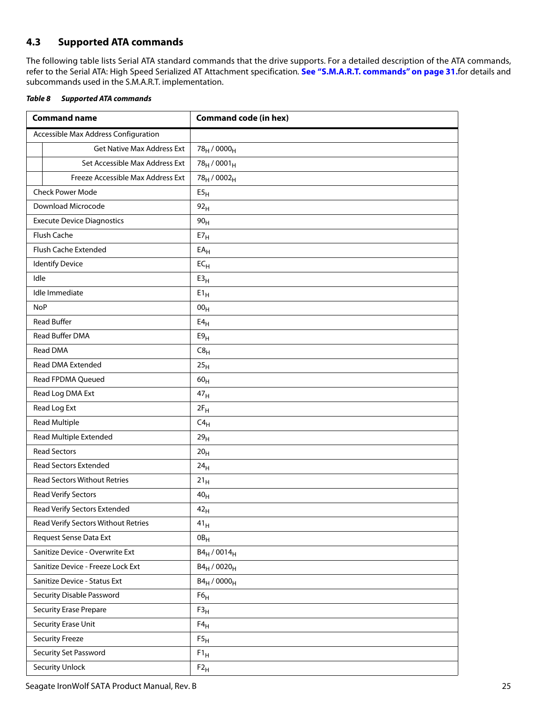## <span id="page-25-0"></span>**4.3 Supported ATA commands**

The following table lists Serial ATA standard commands that the drive supports. For a detailed description of the ATA commands, refer to the Serial ATA: High Speed Serialized AT Attachment specification. **[See "S.M.A.R.T. commands" on page 31.](#page-31-0)**for details and subcommands used in the S.M.A.R.T. implementation.

<span id="page-25-1"></span>

| Table 8 | <b>Supported ATA commands</b> |
|---------|-------------------------------|
|         |                               |

| <b>Command name</b>                  | <b>Command code (in hex)</b>        |
|--------------------------------------|-------------------------------------|
| Accessible Max Address Configuration |                                     |
| <b>Get Native Max Address Ext</b>    | 78 <sub>H</sub> / 0000 <sub>H</sub> |
| Set Accessible Max Address Ext       | $78_H / 0001_H$                     |
| Freeze Accessible Max Address Ext    | 78 <sub>H</sub> / 0002 <sub>H</sub> |
| <b>Check Power Mode</b>              | E5 <sub>H</sub>                     |
| Download Microcode                   | 92 <sub>H</sub>                     |
| <b>Execute Device Diagnostics</b>    | 90 <sub>H</sub>                     |
| Flush Cache                          | ${\sf E7}_{\sf H}$                  |
| Flush Cache Extended                 | $EA_H$                              |
| <b>Identify Device</b>               | $EC_{H}$                            |
| Idle                                 | E3 <sub>H</sub>                     |
| Idle Immediate                       | $E1_H$                              |
| <b>NoP</b>                           | 00 <sub>H</sub>                     |
| <b>Read Buffer</b>                   | E4 <sub>H</sub>                     |
| Read Buffer DMA                      | E9 <sub>H</sub>                     |
| <b>Read DMA</b>                      | C8 <sub>H</sub>                     |
| <b>Read DMA Extended</b>             | 25 <sub>H</sub>                     |
| Read FPDMA Queued                    | $60_H$                              |
| Read Log DMA Ext                     | 47 <sub>H</sub>                     |
| Read Log Ext                         | $2F_H$                              |
| <b>Read Multiple</b>                 | $C4_H$                              |
| Read Multiple Extended               | 29 <sub>H</sub>                     |
| <b>Read Sectors</b>                  | 20 <sub>H</sub>                     |
| <b>Read Sectors Extended</b>         | 24 <sub>H</sub>                     |
| <b>Read Sectors Without Retries</b>  | 21 <sub>H</sub>                     |
| Read Verify Sectors                  | 40 <sub>H</sub>                     |
| Read Verify Sectors Extended         | 42 <sub>H</sub>                     |
| Read Verify Sectors Without Retries  | 41 <sub>H</sub>                     |
| Request Sense Data Ext               | $0B_H$                              |
| Sanitize Device - Overwrite Ext      | $B4_H / 0014_H$                     |
| Sanitize Device - Freeze Lock Ext    | $B4_H / 0020_H$                     |
| Sanitize Device - Status Ext         | $B4_H / 0000_H$                     |
| Security Disable Password            | F6 <sub>H</sub>                     |
| <b>Security Erase Prepare</b>        | F3 <sub>H</sub>                     |
| Security Erase Unit                  | $F4_H$                              |
| <b>Security Freeze</b>               | F5 <sub>H</sub>                     |
| Security Set Password                | $F1_H$                              |
| <b>Security Unlock</b>               | $F2_H$                              |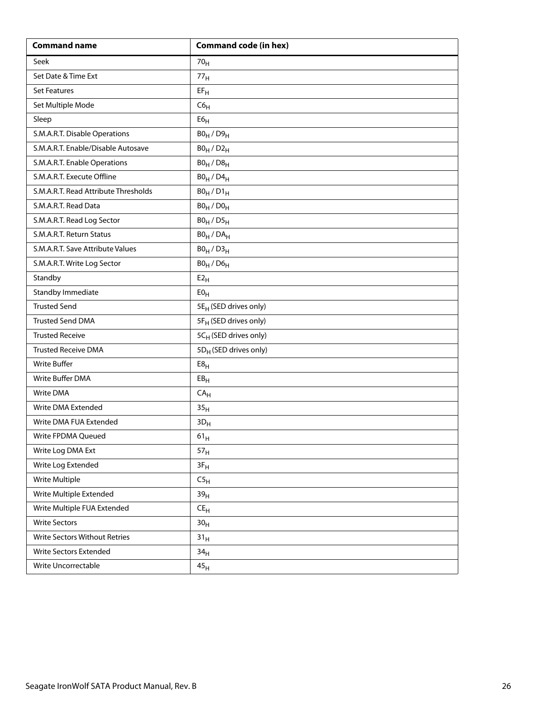| <b>Command name</b>                  | <b>Command code (in hex)</b>      |
|--------------------------------------|-----------------------------------|
| Seek                                 | 70 <sub>H</sub>                   |
| Set Date & Time Ext                  | 77 <sub>H</sub>                   |
| <b>Set Features</b>                  | $EF_H$                            |
| Set Multiple Mode                    | C6 <sub>H</sub>                   |
| Sleep                                | ${\sf E6}_{\sf H}$                |
| S.M.A.R.T. Disable Operations        | $B0_H / D9_H$                     |
| S.M.A.R.T. Enable/Disable Autosave   | $B0_H / D2_H$                     |
| S.M.A.R.T. Enable Operations         | $B0_H / D8_H$                     |
| S.M.A.R.T. Execute Offline           | $B0_H$ / $D4_H$                   |
| S.M.A.R.T. Read Attribute Thresholds | $B0_H / D1_H$                     |
| S.M.A.R.T. Read Data                 | $B0_H / D0_H$                     |
| S.M.A.R.T. Read Log Sector           | $B0_H / D5_H$                     |
| S.M.A.R.T. Return Status             | $BO_H / DA_H$                     |
| S.M.A.R.T. Save Attribute Values     | $B0_H / D3_H$                     |
| S.M.A.R.T. Write Log Sector          | $B0_H$ / $D6_H$                   |
| Standby                              | E2 <sub>H</sub>                   |
| Standby Immediate                    | E0 <sub>H</sub>                   |
| <b>Trusted Send</b>                  | 5E <sub>H</sub> (SED drives only) |
| <b>Trusted Send DMA</b>              | 5F <sub>H</sub> (SED drives only) |
| <b>Trusted Receive</b>               | 5CH (SED drives only)             |
| <b>Trusted Receive DMA</b>           | 5D <sub>H</sub> (SED drives only) |
| <b>Write Buffer</b>                  | E8 <sub>H</sub>                   |
| Write Buffer DMA                     | EB <sub>H</sub>                   |
| Write DMA                            | CA <sub>H</sub>                   |
| Write DMA Extended                   | 35 <sub>H</sub>                   |
| Write DMA FUA Extended               | $3D_H$                            |
| Write FPDMA Queued                   | $61_{\rm H}$                      |
| Write Log DMA Ext                    | 57 <sub>H</sub>                   |
| Write Log Extended                   | $3F_H$                            |
| Write Multiple                       | C5 <sub>H</sub>                   |
| Write Multiple Extended              | 39 <sub>H</sub>                   |
| Write Multiple FUA Extended          | $\mathsf{CE}_\mathsf{H}$          |
| <b>Write Sectors</b>                 | 30 <sub>H</sub>                   |
| Write Sectors Without Retries        | 31 <sub>H</sub>                   |
| Write Sectors Extended               | 34 <sub>H</sub>                   |
| Write Uncorrectable                  | 45 <sub>H</sub>                   |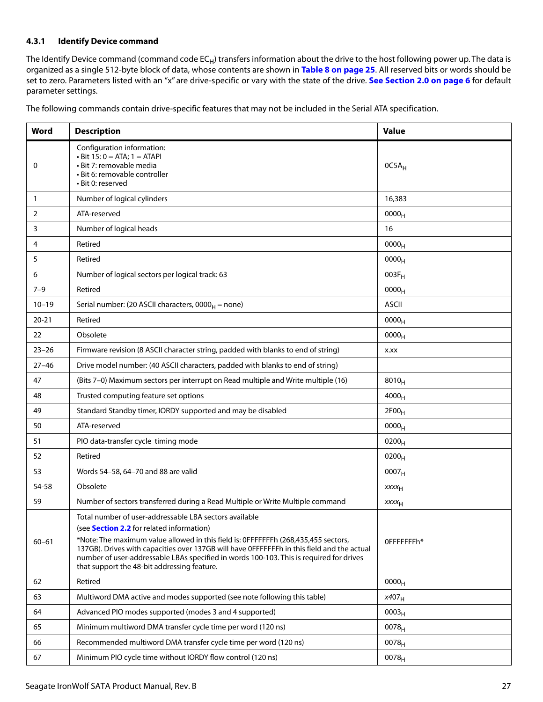#### <span id="page-27-0"></span>**4.3.1 Identify Device command**

The Identify Device command (command code  $EC_H$ ) transfers information about the drive to the host following power up. The data is organized as a single 512-byte block of data, whose contents are shown in **[Table 8 on page 25](#page-25-1)**. All reserved bits or words should be set to zero. Parameters listed with an "x" are drive-specific or vary with the state of the drive. **[See Section 2.0 on page 6](#page-6-0)** for default parameter settings.

The following commands contain drive-specific features that may not be included in the Serial ATA specification.

| Word         | <b>Description</b>                                                                                                                                                                                                                                                                                                                                                                                                                       | <b>Value</b>      |
|--------------|------------------------------------------------------------------------------------------------------------------------------------------------------------------------------------------------------------------------------------------------------------------------------------------------------------------------------------------------------------------------------------------------------------------------------------------|-------------------|
| 0            | Configuration information:<br>$\cdot$ Bit 15: 0 = ATA; 1 = ATAPI<br>• Bit 7: removable media<br>• Bit 6: removable controller<br>· Bit 0: reserved                                                                                                                                                                                                                                                                                       | $OC5A_H$          |
| $\mathbf{1}$ | Number of logical cylinders                                                                                                                                                                                                                                                                                                                                                                                                              | 16,383            |
| 2            | ATA-reserved                                                                                                                                                                                                                                                                                                                                                                                                                             | 0000 <sub>H</sub> |
| 3            | Number of logical heads                                                                                                                                                                                                                                                                                                                                                                                                                  | 16                |
| 4            | Retired                                                                                                                                                                                                                                                                                                                                                                                                                                  | 0000 <sub>H</sub> |
| 5            | Retired                                                                                                                                                                                                                                                                                                                                                                                                                                  | 0000 <sub>H</sub> |
| 6            | Number of logical sectors per logical track: 63                                                                                                                                                                                                                                                                                                                                                                                          | $003F_H$          |
| $7 - 9$      | Retired                                                                                                                                                                                                                                                                                                                                                                                                                                  | 0000 <sub>H</sub> |
| $10 - 19$    | Serial number: (20 ASCII characters, $0000_H$ = none)                                                                                                                                                                                                                                                                                                                                                                                    | <b>ASCII</b>      |
| $20 - 21$    | Retired                                                                                                                                                                                                                                                                                                                                                                                                                                  | 0000 <sub>H</sub> |
| 22           | Obsolete                                                                                                                                                                                                                                                                                                                                                                                                                                 | 0000 <sub>H</sub> |
| $23 - 26$    | Firmware revision (8 ASCII character string, padded with blanks to end of string)                                                                                                                                                                                                                                                                                                                                                        | X.XX              |
| $27 - 46$    | Drive model number: (40 ASCII characters, padded with blanks to end of string)                                                                                                                                                                                                                                                                                                                                                           |                   |
| 47           | (Bits 7-0) Maximum sectors per interrupt on Read multiple and Write multiple (16)                                                                                                                                                                                                                                                                                                                                                        | $8010_H$          |
| 48           | Trusted computing feature set options                                                                                                                                                                                                                                                                                                                                                                                                    | $4000_H$          |
| 49           | Standard Standby timer, IORDY supported and may be disabled                                                                                                                                                                                                                                                                                                                                                                              | 2F00 <sub>H</sub> |
| 50           | ATA-reserved                                                                                                                                                                                                                                                                                                                                                                                                                             | 0000 <sub>H</sub> |
| 51           | PIO data-transfer cycle timing mode                                                                                                                                                                                                                                                                                                                                                                                                      | $0200_{H}$        |
| 52           | Retired                                                                                                                                                                                                                                                                                                                                                                                                                                  | $0200_H$          |
| 53           | Words 54-58, 64-70 and 88 are valid                                                                                                                                                                                                                                                                                                                                                                                                      | 0007 <sub>H</sub> |
| 54-58        | Obsolete                                                                                                                                                                                                                                                                                                                                                                                                                                 | $xxxx_{H}$        |
| 59           | Number of sectors transferred during a Read Multiple or Write Multiple command                                                                                                                                                                                                                                                                                                                                                           | $xxxx_{H}$        |
| $60 - 61$    | Total number of user-addressable LBA sectors available<br>(see <b>Section 2.2</b> for related information)<br>*Note: The maximum value allowed in this field is: OFFFFFFFh (268,435,455 sectors,<br>137GB). Drives with capacities over 137GB will have OFFFFFFFh in this field and the actual<br>number of user-addressable LBAs specified in words 100-103. This is required for drives<br>that support the 48-bit addressing feature. | OFFFFFFFh*        |
| 62           | Retired                                                                                                                                                                                                                                                                                                                                                                                                                                  | 0000 <sub>H</sub> |
| 63           | Multiword DMA active and modes supported (see note following this table)                                                                                                                                                                                                                                                                                                                                                                 | x407 <sub>H</sub> |
| 64           | Advanced PIO modes supported (modes 3 and 4 supported)                                                                                                                                                                                                                                                                                                                                                                                   | 0003 <sub>H</sub> |
| 65           | Minimum multiword DMA transfer cycle time per word (120 ns)                                                                                                                                                                                                                                                                                                                                                                              | 0078 <sub>H</sub> |
| 66           | Recommended multiword DMA transfer cycle time per word (120 ns)                                                                                                                                                                                                                                                                                                                                                                          | 0078 <sub>H</sub> |
| 67           | Minimum PIO cycle time without IORDY flow control (120 ns)                                                                                                                                                                                                                                                                                                                                                                               | 0078 <sub>H</sub> |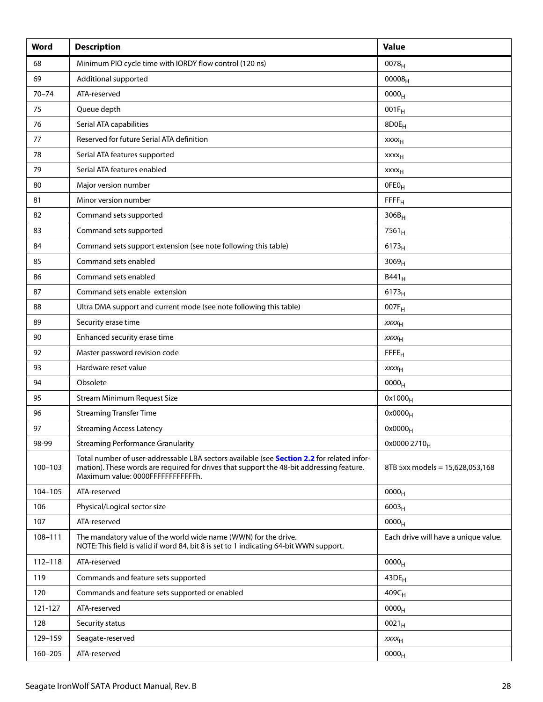| Word        | <b>Description</b>                                                                                                                                                                                                           | <b>Value</b>                         |
|-------------|------------------------------------------------------------------------------------------------------------------------------------------------------------------------------------------------------------------------------|--------------------------------------|
| 68          | Minimum PIO cycle time with IORDY flow control (120 ns)                                                                                                                                                                      | 0078 <sub>H</sub>                    |
| 69          | Additional supported                                                                                                                                                                                                         | $00008_{H}$                          |
| $70 - 74$   | ATA-reserved                                                                                                                                                                                                                 | 0000 <sub>H</sub>                    |
| 75          | Queue depth                                                                                                                                                                                                                  | $001F_H$                             |
| 76          | Serial ATA capabilities                                                                                                                                                                                                      | 8D0E <sub>H</sub>                    |
| 77          | Reserved for future Serial ATA definition                                                                                                                                                                                    | xxxx <sub>H</sub>                    |
| 78          | Serial ATA features supported                                                                                                                                                                                                | <b>XXXX<sub>H</sub></b>              |
| 79          | Serial ATA features enabled                                                                                                                                                                                                  | <b>XXXX<sub>H</sub></b>              |
| 80          | Major version number                                                                                                                                                                                                         | OFEO <sub>H</sub>                    |
| 81          | Minor version number                                                                                                                                                                                                         | FFFF <sub>H</sub>                    |
| 82          | Command sets supported                                                                                                                                                                                                       | $306B_H$                             |
| 83          | Command sets supported                                                                                                                                                                                                       | $7561_H$                             |
| 84          | Command sets support extension (see note following this table)                                                                                                                                                               | 6173 <sub>H</sub>                    |
| 85          | Command sets enabled                                                                                                                                                                                                         | 3069 <sub>H</sub>                    |
| 86          | Command sets enabled                                                                                                                                                                                                         | $B441_H$                             |
| 87          | Command sets enable extension                                                                                                                                                                                                | $6173_H$                             |
| 88          | Ultra DMA support and current mode (see note following this table)                                                                                                                                                           | 007F <sub>H</sub>                    |
| 89          | Security erase time                                                                                                                                                                                                          | $xxxx_{H}$                           |
| 90          | Enhanced security erase time                                                                                                                                                                                                 | $xxxx_{H}$                           |
| 92          | Master password revision code                                                                                                                                                                                                | FFE <sub>H</sub>                     |
| 93          | Hardware reset value                                                                                                                                                                                                         | <b>XXXX<sub>H</sub></b>              |
| 94          | Obsolete                                                                                                                                                                                                                     | 0000 <sub>H</sub>                    |
| 95          | <b>Stream Minimum Request Size</b>                                                                                                                                                                                           | $0x1000_H$                           |
| 96          | <b>Streaming Transfer Time</b>                                                                                                                                                                                               | $0x0000_H$                           |
| 97          | <b>Streaming Access Latency</b>                                                                                                                                                                                              | $0x0000_H$                           |
| 98-99       | <b>Streaming Performance Granularity</b>                                                                                                                                                                                     | 0x0000 2710 <sub>H</sub>             |
| $100 - 103$ | Total number of user-addressable LBA sectors available (see Section 2.2 for related infor-<br>mation). These words are required for drives that support the 48-bit addressing feature.<br>Maximum value: 0000FFFFFFFFFFFFFh. | 8TB 5xx models = 15,628,053,168      |
| 104-105     | ATA-reserved                                                                                                                                                                                                                 | 0000 <sub>H</sub>                    |
| 106         | Physical/Logical sector size                                                                                                                                                                                                 | $6003_H$                             |
| 107         | ATA-reserved                                                                                                                                                                                                                 | 0000 <sub>H</sub>                    |
| 108-111     | The mandatory value of the world wide name (WWN) for the drive.<br>NOTE: This field is valid if word 84, bit 8 is set to 1 indicating 64-bit WWN support.                                                                    | Each drive will have a unique value. |
| $112 - 118$ | ATA-reserved                                                                                                                                                                                                                 | 0000 <sub>H</sub>                    |
| 119         | Commands and feature sets supported                                                                                                                                                                                          | 43DE <sub>H</sub>                    |
| 120         | Commands and feature sets supported or enabled                                                                                                                                                                               | $409C_H$                             |
| 121-127     | ATA-reserved                                                                                                                                                                                                                 | 0000 <sub>H</sub>                    |
| 128         | Security status                                                                                                                                                                                                              | $0021_H$                             |
| 129-159     | Seagate-reserved                                                                                                                                                                                                             | $xxxx_{H}$                           |
| 160-205     | ATA-reserved                                                                                                                                                                                                                 | 0000 <sub>H</sub>                    |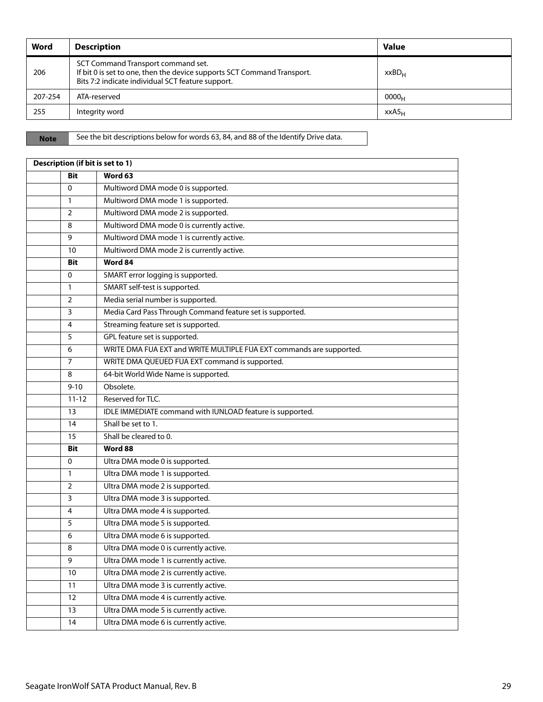| Word    | <b>Description</b>                                                                                                                                                 | <b>Value</b>      |
|---------|--------------------------------------------------------------------------------------------------------------------------------------------------------------------|-------------------|
| 206     | SCT Command Transport command set.<br>If bit 0 is set to one, then the device supports SCT Command Transport.<br>Bits 7:2 indicate individual SCT feature support. | xxBD <sub>H</sub> |
| 207-254 | ATA-reserved                                                                                                                                                       | 0000 <sub>H</sub> |
| 255     | Integrity word                                                                                                                                                     | XXAS <sub>H</sub> |

**Note** See the bit descriptions below for words 63, 84, and 88 of the Identify Drive data.

| Description (if bit is set to 1) |                                                                      |  |
|----------------------------------|----------------------------------------------------------------------|--|
| <b>Bit</b>                       | Word 63                                                              |  |
| $\Omega$                         | Multiword DMA mode 0 is supported.                                   |  |
| $\mathbf{1}$                     | Multiword DMA mode 1 is supported.                                   |  |
| $\overline{2}$                   | Multiword DMA mode 2 is supported.                                   |  |
| 8                                | Multiword DMA mode 0 is currently active.                            |  |
| 9                                | Multiword DMA mode 1 is currently active.                            |  |
| 10                               | Multiword DMA mode 2 is currently active.                            |  |
| <b>Bit</b>                       | Word 84                                                              |  |
| $\Omega$                         | SMART error logging is supported.                                    |  |
| $\mathbf{1}$                     | SMART self-test is supported.                                        |  |
| $\overline{2}$                   | Media serial number is supported.                                    |  |
| 3                                | Media Card Pass Through Command feature set is supported.            |  |
| 4                                | Streaming feature set is supported.                                  |  |
| 5                                | GPL feature set is supported.                                        |  |
| 6                                | WRITE DMA FUA EXT and WRITE MULTIPLE FUA EXT commands are supported. |  |
| 7                                | WRITE DMA QUEUED FUA EXT command is supported.                       |  |
| 8                                | 64-bit World Wide Name is supported.                                 |  |
| $9 - 10$                         | Obsolete.                                                            |  |
| $11 - 12$                        | Reserved for TLC.                                                    |  |
| 13                               | IDLE IMMEDIATE command with IUNLOAD feature is supported.            |  |
| 14                               | Shall be set to 1.                                                   |  |
| 15                               | Shall be cleared to 0.                                               |  |
| <b>Bit</b>                       | Word 88                                                              |  |
| $\Omega$                         | Ultra DMA mode 0 is supported.                                       |  |
| $\mathbf{1}$                     | Ultra DMA mode 1 is supported.                                       |  |
| $\overline{2}$                   | Ultra DMA mode 2 is supported.                                       |  |
| 3                                | Ultra DMA mode 3 is supported.                                       |  |
| 4                                | Ultra DMA mode 4 is supported.                                       |  |
| 5                                | Ultra DMA mode 5 is supported.                                       |  |
| 6                                | Ultra DMA mode 6 is supported.                                       |  |
| 8                                | Ultra DMA mode 0 is currently active.                                |  |
| 9                                | Ultra DMA mode 1 is currently active.                                |  |
| 10                               | Ultra DMA mode 2 is currently active.                                |  |
| 11                               | Ultra DMA mode 3 is currently active.                                |  |
| 12                               | Ultra DMA mode 4 is currently active.                                |  |
| 13                               | Ultra DMA mode 5 is currently active.                                |  |
| 14                               | Ultra DMA mode 6 is currently active.                                |  |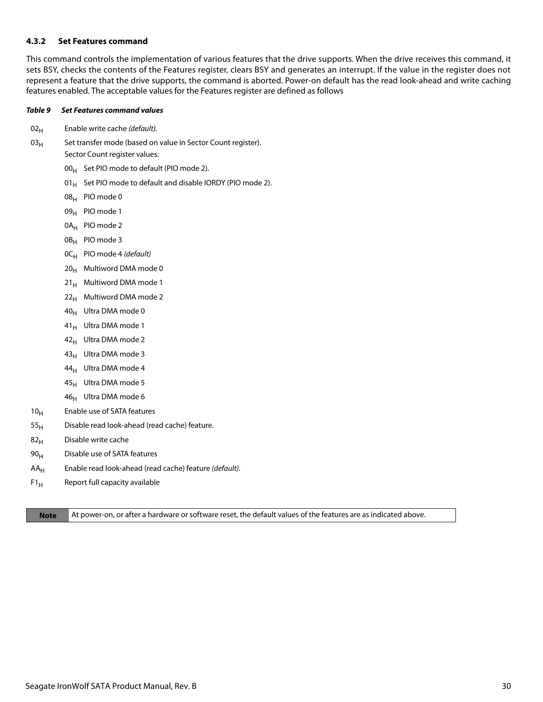#### <span id="page-30-0"></span>**4.3.2 Set Features command**

This command controls the implementation of various features that the drive supports. When the drive receives this command, it sets BSY, checks the contents of the Features register, clears BSY and generates an interrupt. If the value in the register does not represent a feature that the drive supports, the command is aborted. Power-on default has the read look-ahead and write caching features enabled. The acceptable values for the Features register are defined as follows

#### *Table 9 Set Features command values*

- $02_H$  Enable write cache (default).
- $03_H$  Set transfer mode (based on value in Sector Count register). Sector Count register values:
	- $00_H$  Set PIO mode to default (PIO mode 2).
	- 01 $_{\rm H}$  Set PIO mode to default and disable IORDY (PIO mode 2).
	- 08H PIO mode 0
	- 09<sub>H</sub> PIO mode 1
	- 0A<sub>H</sub> PIO mode 2
	- 0B<sub>H</sub> PIO mode 3
	- $OC_H$  PIO mode 4 (default)
	- $20_H$  Multiword DMA mode 0
	- $21_H$  Multiword DMA mode 1
	- $22<sub>H</sub>$  Multiword DMA mode 2
	- 40H Ultra DMA mode 0
	- 41<sub>H</sub> Ultra DMA mode 1
	- $42_H$  Ultra DMA mode 2
	- $43_H$  Ultra DMA mode 3
	- $44_H$  Ultra DMA mode 4
	- $45_H$  Ultra DMA mode 5
	- $46_H$  Ultra DMA mode 6
- 10<sub>H</sub> Enable use of SATA features
- $55<sub>H</sub>$  Disable read look-ahead (read cache) feature.
- $82<sub>H</sub>$  Disable write cache
- $90<sub>H</sub>$  Disable use of SATA features
- $AA_H$  Enable read look-ahead (read cache) feature (default).
- $F1_H$  Report full capacity available

**Note** At power-on, or after a hardware or software reset, the default values of the features are as indicated above.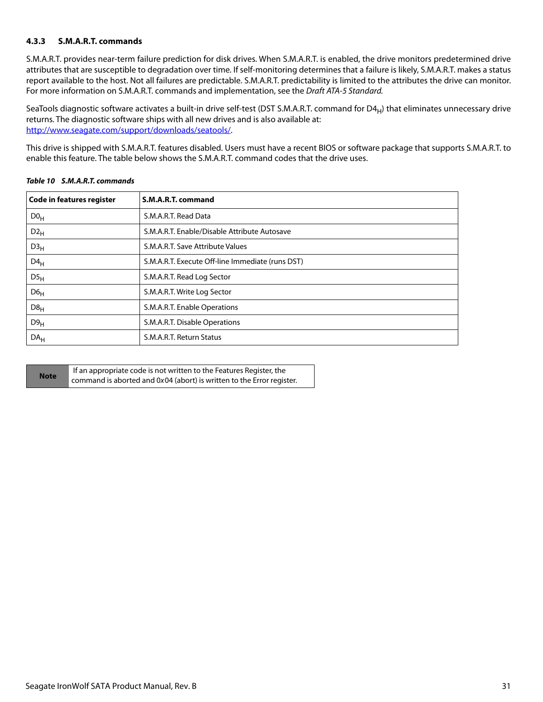#### <span id="page-31-0"></span>**4.3.3 S.M.A.R.T. commands**

S.M.A.R.T. provides near-term failure prediction for disk drives. When S.M.A.R.T. is enabled, the drive monitors predetermined drive attributes that are susceptible to degradation over time. If self-monitoring determines that a failure is likely, S.M.A.R.T. makes a status report available to the host. Not all failures are predictable. S.M.A.R.T. predictability is limited to the attributes the drive can monitor. For more information on S.M.A.R.T. commands and implementation, see the Draft ATA-5 Standard.

SeaTools diagnostic software activates a built-in drive self-test (DST S.M.A.R.T. command for  $D4_H$ ) that eliminates unnecessary drive returns. The diagnostic software ships with all new drives and is also available at: [http://www.seagate.com/support/downloads/seatools/](http://www.seagate.com/support/downloads/seatools/ ).

This drive is shipped with S.M.A.R.T. features disabled. Users must have a recent BIOS or software package that supports S.M.A.R.T. to enable this feature. The table below shows the S.M.A.R.T. command codes that the drive uses.

| Code in features register | S.M.A.R.T. command                               |
|---------------------------|--------------------------------------------------|
| D0 <sub>H</sub>           | S.M.A.R.T. Read Data                             |
| $D2_H$                    | S.M.A.R.T. Enable/Disable Attribute Autosave     |
| D3 <sub>H</sub>           | S.M.A.R.T. Save Attribute Values                 |
| $D4_H$                    | S.M.A.R.T. Execute Off-line Immediate (runs DST) |
| DS <sub>H</sub>           | S.M.A.R.T. Read Log Sector                       |
| D6 <sub>H</sub>           | S.M.A.R.T. Write Log Sector                      |
| D8 <sub>H</sub>           | S.M.A.R.T. Enable Operations                     |
| D9 <sub>H</sub>           | S.M.A.R.T. Disable Operations                    |
| DA <sub>H</sub>           | S.M.A.R.T. Return Status                         |

#### *Table 10 S.M.A.R.T. commands*

| <b>Note</b> | If an appropriate code is not written to the Features Register, the   |
|-------------|-----------------------------------------------------------------------|
|             | command is aborted and 0x04 (abort) is written to the Error register. |